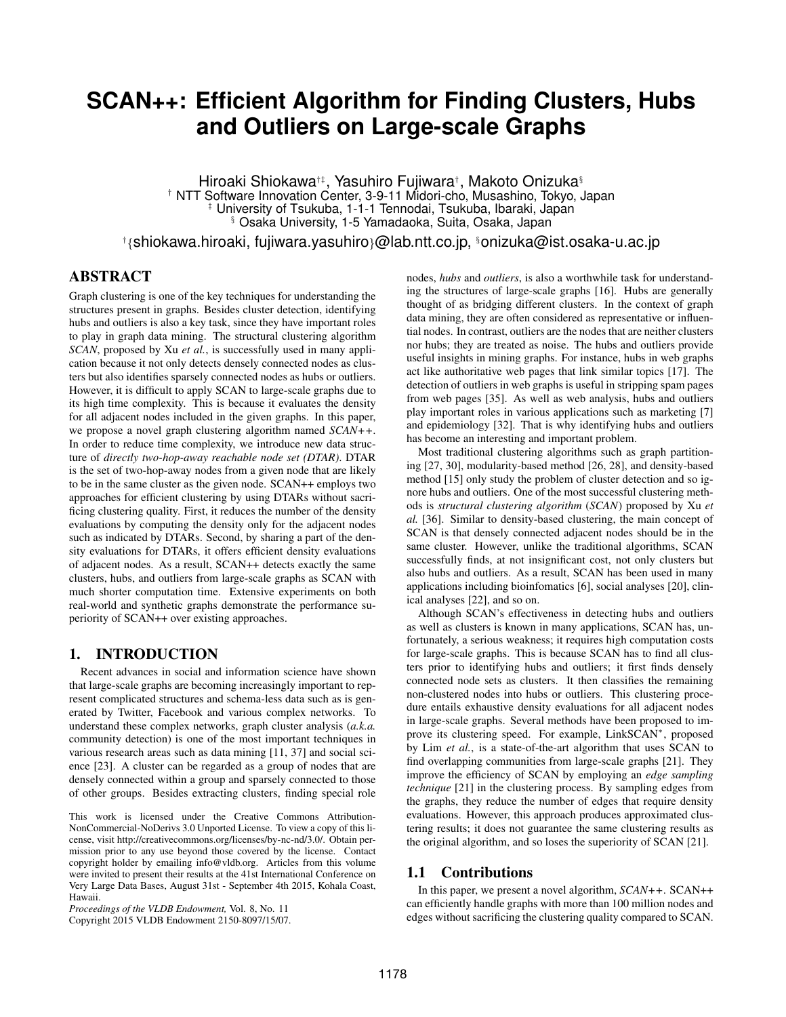# **SCAN++: Efficient Algorithm for Finding Clusters, Hubs and Outliers on Large-scale Graphs**

Hiroaki Shiokawa†‡, Yasuhiro Fujiwara† , Makoto Onizuka§ † NTT Software Innovation Center, 3-9-11 Midori-cho, Musashino, Tokyo, Japan ‡ University of Tsukuba, 1-1-1 Tennodai, Tsukuba, Ibaraki, Japan § Osaka University, 1-5 Yamadaoka, Suita, Osaka, Japan

† {shiokawa.hiroaki, fujiwara.yasuhiro}@lab.ntt.co.jp, §onizuka@ist.osaka-u.ac.jp

# ABSTRACT

Graph clustering is one of the key techniques for understanding the structures present in graphs. Besides cluster detection, identifying hubs and outliers is also a key task, since they have important roles to play in graph data mining. The structural clustering algorithm *SCAN*, proposed by Xu *et al.*, is successfully used in many application because it not only detects densely connected nodes as clusters but also identifies sparsely connected nodes as hubs or outliers. However, it is difficult to apply SCAN to large-scale graphs due to its high time complexity. This is because it evaluates the density for all adjacent nodes included in the given graphs. In this paper, we propose a novel graph clustering algorithm named *SCAN++*. In order to reduce time complexity, we introduce new data structure of *directly two-hop-away reachable node set (DTAR)*. DTAR is the set of two-hop-away nodes from a given node that are likely to be in the same cluster as the given node. SCAN++ employs two approaches for efficient clustering by using DTARs without sacrificing clustering quality. First, it reduces the number of the density evaluations by computing the density only for the adjacent nodes such as indicated by DTARs. Second, by sharing a part of the density evaluations for DTARs, it offers efficient density evaluations of adjacent nodes. As a result, SCAN++ detects exactly the same clusters, hubs, and outliers from large-scale graphs as SCAN with much shorter computation time. Extensive experiments on both real-world and synthetic graphs demonstrate the performance superiority of SCAN++ over existing approaches.

# 1. INTRODUCTION

Recent advances in social and information science have shown that large-scale graphs are becoming increasingly important to represent complicated structures and schema-less data such as is generated by Twitter, Facebook and various complex networks. To understand these complex networks, graph cluster analysis (*a.k.a.* community detection) is one of the most important techniques in various research areas such as data mining [11, 37] and social science [23]. A cluster can be regarded as a group of nodes that are densely connected within a group and sparsely connected to those of other groups. Besides extracting clusters, finding special role

This work is licensed under the Creative Commons Attribution-NonCommercial-NoDerivs 3.0 Unported License. To view a copy of this license, visit http://creativecommons.org/licenses/by-nc-nd/3.0/. Obtain permission prior to any use beyond those covered by the license. Contact copyright holder by emailing info@vldb.org. Articles from this volume were invited to present their results at the 41st International Conference on Very Large Data Bases, August 31st - September 4th 2015, Kohala Coast, Hawaii.

*Proceedings of the VLDB Endowment,* Vol. 8, No. 11

Copyright 2015 VLDB Endowment 2150-8097/15/07.

nodes, *hubs* and *outliers*, is also a worthwhile task for understanding the structures of large-scale graphs [16]. Hubs are generally thought of as bridging different clusters. In the context of graph data mining, they are often considered as representative or influential nodes. In contrast, outliers are the nodes that are neither clusters nor hubs; they are treated as noise. The hubs and outliers provide useful insights in mining graphs. For instance, hubs in web graphs act like authoritative web pages that link similar topics [17]. The detection of outliers in web graphs is useful in stripping spam pages from web pages [35]. As well as web analysis, hubs and outliers play important roles in various applications such as marketing [7] and epidemiology [32]. That is why identifying hubs and outliers has become an interesting and important problem.

Most traditional clustering algorithms such as graph partitioning [27, 30], modularity-based method [26, 28], and density-based method [15] only study the problem of cluster detection and so ignore hubs and outliers. One of the most successful clustering methods is *structural clustering algorithm* (*SCAN*) proposed by Xu *et al.* [36]. Similar to density-based clustering, the main concept of SCAN is that densely connected adjacent nodes should be in the same cluster. However, unlike the traditional algorithms, SCAN successfully finds, at not insignificant cost, not only clusters but also hubs and outliers. As a result, SCAN has been used in many applications including bioinfomatics [6], social analyses [20], clinical analyses [22], and so on.

Although SCAN's effectiveness in detecting hubs and outliers as well as clusters is known in many applications, SCAN has, unfortunately, a serious weakness; it requires high computation costs for large-scale graphs. This is because SCAN has to find all clusters prior to identifying hubs and outliers; it first finds densely connected node sets as clusters. It then classifies the remaining non-clustered nodes into hubs or outliers. This clustering procedure entails exhaustive density evaluations for all adjacent nodes in large-scale graphs. Several methods have been proposed to improve its clustering speed. For example, LinkSCAN<sup>\*</sup>, proposed by Lim *et al.*, is a state-of-the-art algorithm that uses SCAN to find overlapping communities from large-scale graphs [21]. They improve the efficiency of SCAN by employing an *edge sampling technique* [21] in the clustering process. By sampling edges from the graphs, they reduce the number of edges that require density evaluations. However, this approach produces approximated clustering results; it does not guarantee the same clustering results as the original algorithm, and so loses the superiority of SCAN [21].

# 1.1 Contributions

In this paper, we present a novel algorithm, *SCAN++*. SCAN++ can efficiently handle graphs with more than 100 million nodes and edges without sacrificing the clustering quality compared to SCAN.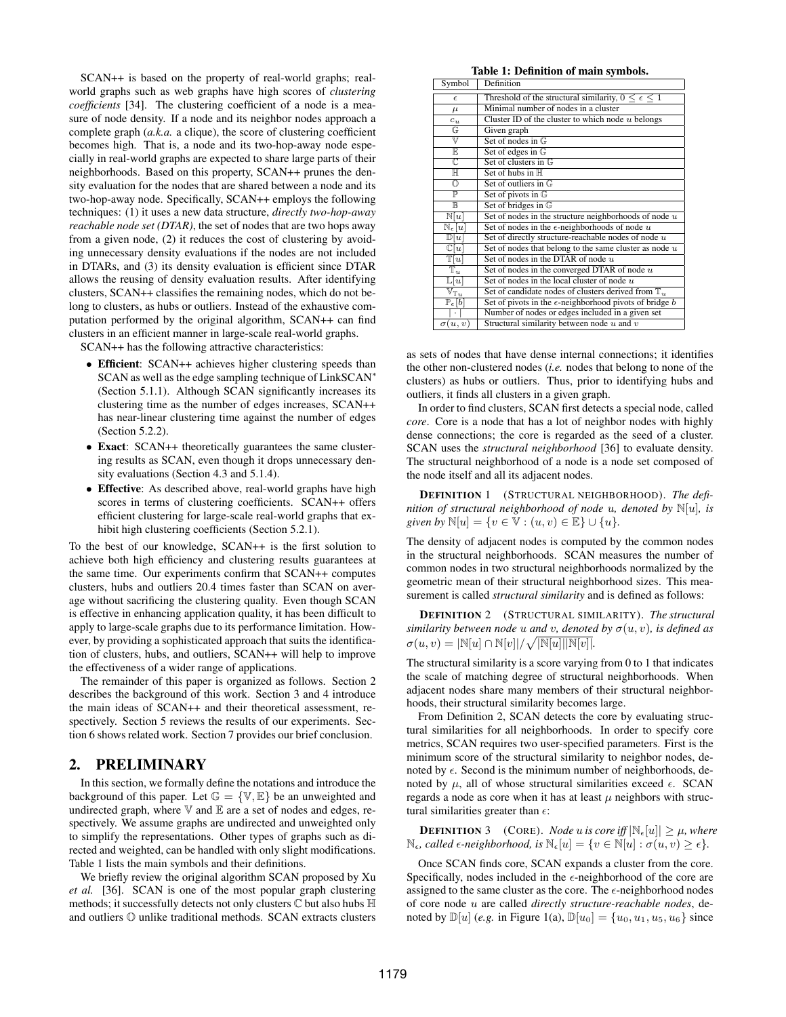SCAN++ is based on the property of real-world graphs; realworld graphs such as web graphs have high scores of *clustering coefficients* [34]. The clustering coefficient of a node is a measure of node density. If a node and its neighbor nodes approach a complete graph (*a.k.a.* a clique), the score of clustering coefficient becomes high. That is, a node and its two-hop-away node especially in real-world graphs are expected to share large parts of their neighborhoods. Based on this property, SCAN++ prunes the density evaluation for the nodes that are shared between a node and its two-hop-away node. Specifically, SCAN++ employs the following techniques: (1) it uses a new data structure, *directly two-hop-away reachable node set (DTAR)*, the set of nodes that are two hops away from a given node, (2) it reduces the cost of clustering by avoiding unnecessary density evaluations if the nodes are not included in DTARs, and (3) its density evaluation is efficient since DTAR allows the reusing of density evaluation results. After identifying clusters, SCAN++ classifies the remaining nodes, which do not belong to clusters, as hubs or outliers. Instead of the exhaustive computation performed by the original algorithm, SCAN++ can find clusters in an efficient manner in large-scale real-world graphs.

SCAN++ has the following attractive characteristics:

- Efficient: SCAN++ achieves higher clustering speeds than SCAN as well as the edge sampling technique of LinkSCAN<sup>∗</sup> (Section 5.1.1). Although SCAN significantly increases its clustering time as the number of edges increases, SCAN++ has near-linear clustering time against the number of edges (Section 5.2.2).
- Exact: SCAN++ theoretically guarantees the same clustering results as SCAN, even though it drops unnecessary density evaluations (Section 4.3 and 5.1.4).
- Effective: As described above, real-world graphs have high scores in terms of clustering coefficients. SCAN++ offers efficient clustering for large-scale real-world graphs that exhibit high clustering coefficients (Section 5.2.1).

To the best of our knowledge, SCAN++ is the first solution to achieve both high efficiency and clustering results guarantees at the same time. Our experiments confirm that SCAN++ computes clusters, hubs and outliers 20.4 times faster than SCAN on average without sacrificing the clustering quality. Even though SCAN is effective in enhancing application quality, it has been difficult to apply to large-scale graphs due to its performance limitation. However, by providing a sophisticated approach that suits the identification of clusters, hubs, and outliers, SCAN++ will help to improve the effectiveness of a wider range of applications.

The remainder of this paper is organized as follows. Section 2 describes the background of this work. Section 3 and 4 introduce the main ideas of SCAN++ and their theoretical assessment, respectively. Section 5 reviews the results of our experiments. Section 6 shows related work. Section 7 provides our brief conclusion.

# 2. PRELIMINARY

In this section, we formally define the notations and introduce the background of this paper. Let  $\mathbb{G} = \{ \mathbb{V}, \mathbb{E} \}$  be an unweighted and undirected graph, where  $V$  and  $E$  are a set of nodes and edges, respectively. We assume graphs are undirected and unweighted only to simplify the representations. Other types of graphs such as directed and weighted, can be handled with only slight modifications. Table 1 lists the main symbols and their definitions.

We briefly review the original algorithm SCAN proposed by Xu *et al.* [36]. SCAN is one of the most popular graph clustering methods; it successfully detects not only clusters C but also hubs H and outliers O unlike traditional methods. SCAN extracts clusters

Table 1: Definition of main symbols.

| Symbol                                 | Definition                                                       |
|----------------------------------------|------------------------------------------------------------------|
| $\epsilon$                             | Threshold of the structural similarity, $0 \leq \epsilon \leq 1$ |
| $\mu$                                  | Minimal number of nodes in a cluster                             |
| $c_u$                                  | Cluster ID of the cluster to which node $u$ belongs              |
| $\overline{\mathbb{G}}$                | Given graph                                                      |
| $\mathbb {V}$                          | Set of nodes in G                                                |
| $\overline{\mathbb{E}}$                | Set of edges in G                                                |
| $\overline{\mathbb{C}}$                | Set of clusters in G                                             |
| H                                      | Set of hubs in $\mathbb H$                                       |
| $\circledcirc$                         | Set of outliers in G                                             |
| $\mathbb{P}$                           | Set of pivots in G                                               |
| $\mathbb B$                            | Set of bridges in G                                              |
| $\mathbb{N}[u]$                        | Set of nodes in the structure neighborhoods of node $u$          |
| $\mathbb{N}_{\epsilon}[u]$             | Set of nodes in the $\epsilon$ -neighborhoods of node u          |
| $\mathbb{D}[u]$                        | Set of directly structure-reachable nodes of node $u$            |
| $\mathbb{C}[u]$                        | Set of nodes that belong to the same cluster as node $u$         |
| $\mathbb{T}[u]$                        | Set of nodes in the DTAR of node $u$                             |
| $\overline{\mathbb{T}_u}$              | Set of nodes in the converged DTAR of node $u$                   |
| $\mathbb{L}[u]$                        | Set of nodes in the local cluster of node $u$                    |
| $\overline{\mathbb{V}_{\mathbb{T}_u}}$ | Set of candidate nodes of clusters derived from $\mathbb{T}_u$   |
| $\mathbb{P}_{\epsilon}[b]$             | Set of pivots in the $\epsilon$ -neighborhood pivots of bridge b |
|                                        | Number of nodes or edges included in a given set                 |
| $\sigma(u,v)$                          | Structural similarity between node $u$ and $v$                   |

as sets of nodes that have dense internal connections; it identifies the other non-clustered nodes (*i.e.* nodes that belong to none of the clusters) as hubs or outliers. Thus, prior to identifying hubs and outliers, it finds all clusters in a given graph.

In order to find clusters, SCAN first detects a special node, called *core*. Core is a node that has a lot of neighbor nodes with highly dense connections; the core is regarded as the seed of a cluster. SCAN uses the *structural neighborhood* [36] to evaluate density. The structural neighborhood of a node is a node set composed of the node itself and all its adjacent nodes.

DEFINITION 1 (STRUCTURAL NEIGHBORHOOD). *The definition of structural neighborhood of node u, denoted by*  $\mathbb{N}[u]$ *, is given by*  $\mathbb{N}[u] = \{v \in \mathbb{V} : (u, v) \in \mathbb{E}\} \cup \{u\}.$ 

The density of adjacent nodes is computed by the common nodes in the structural neighborhoods. SCAN measures the number of common nodes in two structural neighborhoods normalized by the geometric mean of their structural neighborhood sizes. This measurement is called *structural similarity* and is defined as follows:

DEFINITION 2 (STRUCTURAL SIMILARITY). *The structural similarity between node* u *and* v, *denoted by*  $\sigma(u, v)$ *, is defined as*  $\sigma(u, v) = |\mathbb{N}[u] \cap \mathbb{N}[v]| / \sqrt{|\mathbb{N}[u]||\mathbb{N}[v]}.$ 

The structural similarity is a score varying from 0 to 1 that indicates the scale of matching degree of structural neighborhoods. When adjacent nodes share many members of their structural neighborhoods, their structural similarity becomes large.

From Definition 2, SCAN detects the core by evaluating structural similarities for all neighborhoods. In order to specify core metrics, SCAN requires two user-specified parameters. First is the minimum score of the structural similarity to neighbor nodes, denoted by  $\epsilon$ . Second is the minimum number of neighborhoods, denoted by  $\mu$ , all of whose structural similarities exceed  $\epsilon$ . SCAN regards a node as core when it has at least  $\mu$  neighbors with structural similarities greater than  $\epsilon$ :

**DEFINITION** 3 (CORE). *Node* u is core iff  $|\mathbb{N}_{\epsilon}[u]| > \mu$ , where  $\mathbb{N}_{\epsilon}$ *, called*  $\epsilon$ *-neighborhood, is*  $\mathbb{N}_{\epsilon}[u] = \{v \in \mathbb{N}[u] : \sigma(u, v) \geq \epsilon\}.$ 

Once SCAN finds core, SCAN expands a cluster from the core. Specifically, nodes included in the  $\epsilon$ -neighborhood of the core are assigned to the same cluster as the core. The  $\epsilon$ -neighborhood nodes of core node u are called *directly structure-reachable nodes*, denoted by  $\mathbb{D}[u]$  (*e.g.* in Figure 1(a),  $\mathbb{D}[u_0] = \{u_0, u_1, u_5, u_6\}$  since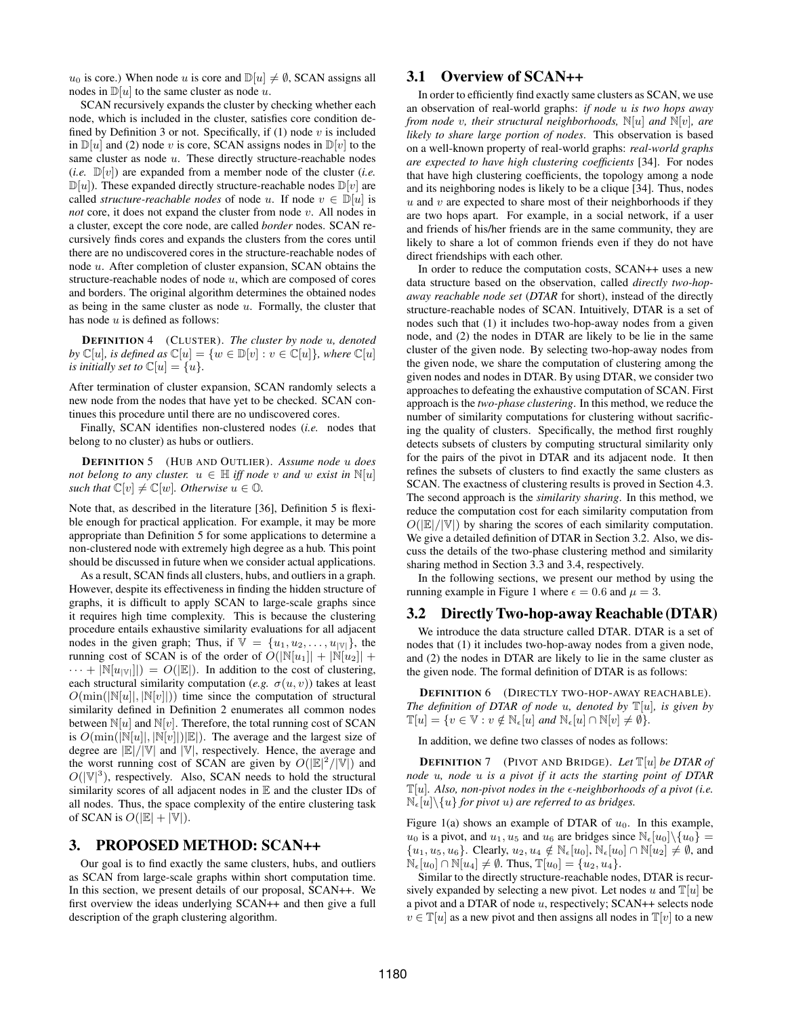$u_0$  is core.) When node u is core and  $\mathbb{D}[u] \neq \emptyset$ , SCAN assigns all nodes in  $\mathbb{D}[u]$  to the same cluster as node u.

SCAN recursively expands the cluster by checking whether each node, which is included in the cluster, satisfies core condition defined by Definition 3 or not. Specifically, if  $(1)$  node v is included in  $\mathbb{D}[u]$  and (2) node v is core, SCAN assigns nodes in  $\mathbb{D}[v]$  to the same cluster as node  $u$ . These directly structure-reachable nodes (*i.e.*  $\mathbb{D}[v]$ ) are expanded from a member node of the cluster (*i.e.*  $\mathbb{D}[u]$ . These expanded directly structure-reachable nodes  $\mathbb{D}[v]$  are called *structure-reachable nodes* of node u. If node  $v \in D[u]$  is *not* core, it does not expand the cluster from node v. All nodes in a cluster, except the core node, are called *border* nodes. SCAN recursively finds cores and expands the clusters from the cores until there are no undiscovered cores in the structure-reachable nodes of node u. After completion of cluster expansion, SCAN obtains the structure-reachable nodes of node  $u$ , which are composed of cores and borders. The original algorithm determines the obtained nodes as being in the same cluster as node  $u$ . Formally, the cluster that has node  $u$  is defined as follows:

DEFINITION 4 (CLUSTER). *The cluster by node* u*, denoted by*  $\mathbb{C}[u]$ *, is defined as*  $\mathbb{C}[u] = \{w \in \mathbb{D}[v] : v \in \mathbb{C}[u]\}$ *, where*  $\mathbb{C}[u]$ *is initially set to*  $\mathbb{C}[u] = \{u\}.$ 

After termination of cluster expansion, SCAN randomly selects a new node from the nodes that have yet to be checked. SCAN continues this procedure until there are no undiscovered cores.

Finally, SCAN identifies non-clustered nodes (*i.e.* nodes that belong to no cluster) as hubs or outliers.

DEFINITION 5 (HUB AND OUTLIER). *Assume node* u *does not belong to any cluster.*  $u \in \mathbb{H}$  *iff node* v *and* w *exist in*  $\mathbb{N}[u]$ *such that*  $\mathbb{C}[v] \neq \mathbb{C}[w]$ *. Otherwise*  $u \in \mathbb{O}$ *.* 

Note that, as described in the literature [36], Definition 5 is flexible enough for practical application. For example, it may be more appropriate than Definition 5 for some applications to determine a non-clustered node with extremely high degree as a hub. This point should be discussed in future when we consider actual applications.

As a result, SCAN finds all clusters, hubs, and outliers in a graph. However, despite its effectiveness in finding the hidden structure of graphs, it is difficult to apply SCAN to large-scale graphs since it requires high time complexity. This is because the clustering procedure entails exhaustive similarity evaluations for all adjacent nodes in the given graph; Thus, if  $\mathbb{V} = \{u_1, u_2, \dots, u_{|\mathbb{V}|}\}\$ , the running cost of SCAN is of the order of  $O(|\mathbb{N}[u_1]| + |\mathbb{N}[u_2]| +$  $\cdots$  +  $\mathbb{N}[u_{|\mathbb{V}|}]$ ) =  $O(|\mathbb{E}|)$ . In addition to the cost of clustering, each structural similarity computation (*e.g.*  $\sigma(u, v)$ ) takes at least  $O(\min(|\mathbb{N}[u]|, |\mathbb{N}[v]|))$  time since the computation of structural similarity defined in Definition 2 enumerates all common nodes between  $\mathbb{N}[u]$  and  $\mathbb{N}[v]$ . Therefore, the total running cost of SCAN is  $O(\min(|\mathbb{N}[u]|, |\mathbb{N}[v]|)|\mathbb{E}|)$ . The average and the largest size of degree are  $|\mathbb{E}|/|\mathbb{V}|$  and  $|\mathbb{V}|$ , respectively. Hence, the average and the worst running cost of SCAN are given by  $O(|\mathbb{E}|^2/|\mathbb{V}|)$  and  $O(|V|^3)$ , respectively. Also, SCAN needs to hold the structural similarity scores of all adjacent nodes in E and the cluster IDs of all nodes. Thus, the space complexity of the entire clustering task of SCAN is  $O(|\mathbb{E}| + |\mathbb{V}|)$ .

# 3. PROPOSED METHOD: SCAN++

Our goal is to find exactly the same clusters, hubs, and outliers as SCAN from large-scale graphs within short computation time. In this section, we present details of our proposal, SCAN++. We first overview the ideas underlying SCAN++ and then give a full description of the graph clustering algorithm.

# 3.1 Overview of SCAN++

In order to efficiently find exactly same clusters as SCAN, we use an observation of real-world graphs: *if node* u *is two hops away from node* v*, their structural neighborhoods,* N[u] *and* N[v]*, are likely to share large portion of nodes*. This observation is based on a well-known property of real-world graphs: *real-world graphs are expected to have high clustering coefficients* [34]. For nodes that have high clustering coefficients, the topology among a node and its neighboring nodes is likely to be a clique [34]. Thus, nodes  $u$  and  $v$  are expected to share most of their neighborhoods if they are two hops apart. For example, in a social network, if a user and friends of his/her friends are in the same community, they are likely to share a lot of common friends even if they do not have direct friendships with each other.

In order to reduce the computation costs, SCAN++ uses a new data structure based on the observation, called *directly two-hopaway reachable node set* (*DTAR* for short), instead of the directly structure-reachable nodes of SCAN. Intuitively, DTAR is a set of nodes such that (1) it includes two-hop-away nodes from a given node, and (2) the nodes in DTAR are likely to be lie in the same cluster of the given node. By selecting two-hop-away nodes from the given node, we share the computation of clustering among the given nodes and nodes in DTAR. By using DTAR, we consider two approaches to defeating the exhaustive computation of SCAN. First approach is the *two-phase clustering*. In this method, we reduce the number of similarity computations for clustering without sacrificing the quality of clusters. Specifically, the method first roughly detects subsets of clusters by computing structural similarity only for the pairs of the pivot in DTAR and its adjacent node. It then refines the subsets of clusters to find exactly the same clusters as SCAN. The exactness of clustering results is proved in Section 4.3. The second approach is the *similarity sharing*. In this method, we reduce the computation cost for each similarity computation from  $O(|E|/|\mathbb{V}|)$  by sharing the scores of each similarity computation. We give a detailed definition of DTAR in Section 3.2. Also, we discuss the details of the two-phase clustering method and similarity sharing method in Section 3.3 and 3.4, respectively.

In the following sections, we present our method by using the running example in Figure 1 where  $\epsilon = 0.6$  and  $\mu = 3$ .

## 3.2 Directly Two-hop-away Reachable (DTAR)

We introduce the data structure called DTAR. DTAR is a set of nodes that (1) it includes two-hop-away nodes from a given node, and (2) the nodes in DTAR are likely to lie in the same cluster as the given node. The formal definition of DTAR is as follows:

DEFINITION 6 (DIRECTLY TWO-HOP-AWAY REACHABLE). *The definition of DTAR of node u, denoted by*  $\mathbb{T}[u]$ *, is given by*  $\mathbb{T}[u] = \{v \in \mathbb{V} : v \notin \mathbb{N}_{\epsilon}[u] \text{ and } \mathbb{N}_{\epsilon}[u] \cap \mathbb{N}[v] \neq \emptyset\}.$ 

In addition, we define two classes of nodes as follows:

DEFINITION 7 (PIVOT AND BRIDGE). *Let* T[u] *be DTAR of node* u*, node* u *is a pivot if it acts the starting point of DTAR*  $\mathbb{T}[u]$ *. Also, non-pivot nodes in the*  $\epsilon$ *-neighborhoods of a pivot (i.e.*  $\mathbb{N}_{\epsilon}[u]\setminus\{u\}$  *for pivot*  $u$ *) are referred to as bridges.* 

Figure 1(a) shows an example of DTAR of  $u_0$ . In this example,  $u_0$  is a pivot, and  $u_1, u_5$  and  $u_6$  are bridges since  $\mathbb{N}_{\epsilon}[u_0]\setminus\{u_0\}$  =  $\{u_1, u_5, u_6\}$ . Clearly,  $u_2, u_4 \notin \mathbb{N}_{\epsilon}[u_0], \mathbb{N}_{\epsilon}[u_0] \cap \mathbb{N}[u_2] \neq \emptyset$ , and  $\mathbb{N}_{\epsilon}[u_0] \cap \mathbb{N}[u_4] \neq \emptyset$ . Thus,  $\mathbb{T}[u_0] = \{u_2, u_4\}.$ 

Similar to the directly structure-reachable nodes, DTAR is recursively expanded by selecting a new pivot. Let nodes u and  $\mathbb{T}[u]$  be a pivot and a DTAR of node u, respectively; SCAN++ selects node  $v \in \mathbb{T}[u]$  as a new pivot and then assigns all nodes in  $\mathbb{T}[v]$  to a new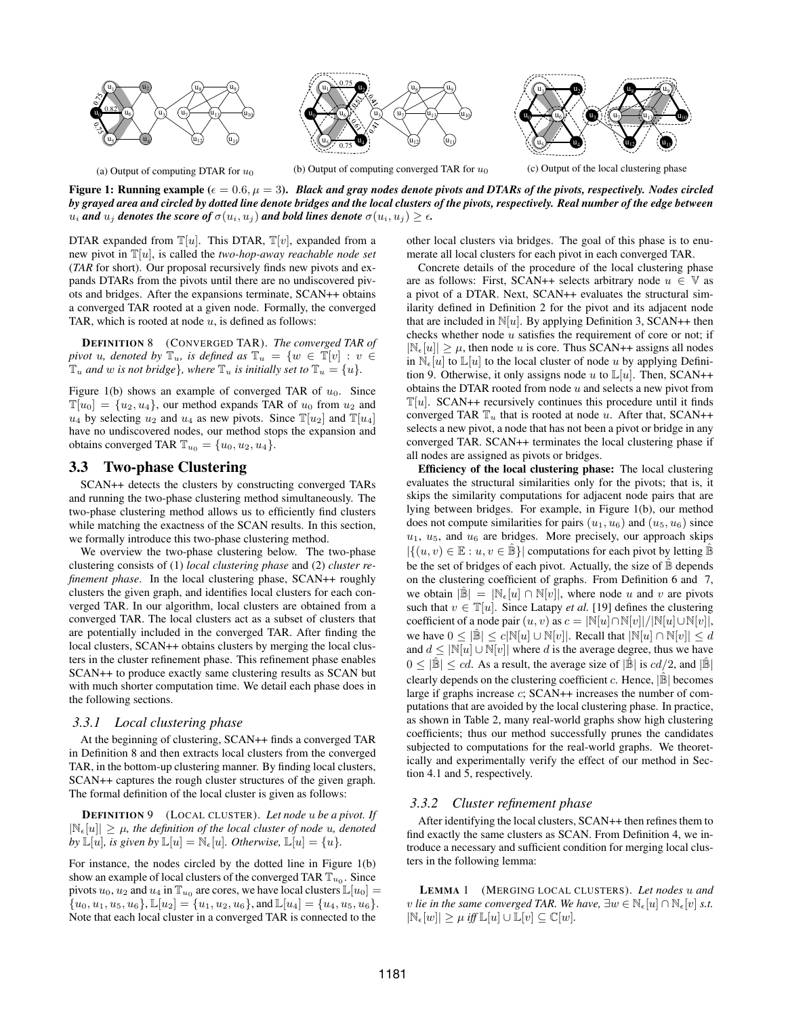

(a) Output of computing DTAR for  $u_0$ 

(b) Output of computing converged TAR for  $u_0$ 

(c) Output of the local clustering phase

Figure 1: Running example ( $\epsilon = 0.6$ ,  $\mu = 3$ ). *Black and gray nodes denote pivots and DTARs of the pivots, respectively. Nodes circled by grayed area and circled by dotted line denote bridges and the local clusters of the pivots, respectively. Real number of the edge between*  $u_i$  *and*  $u_j$  *denotes the score of*  $\sigma(u_i, u_j)$  *and bold lines denote*  $\sigma(u_i, u_j) \geq \epsilon$ .

DTAR expanded from  $\mathbb{T}[u]$ . This DTAR,  $\mathbb{T}[v]$ , expanded from a new pivot in T[u], is called the *two-hop-away reachable node set* (*TAR* for short). Our proposal recursively finds new pivots and expands DTARs from the pivots until there are no undiscovered pivots and bridges. After the expansions terminate, SCAN++ obtains a converged TAR rooted at a given node. Formally, the converged TAR, which is rooted at node  $u$ , is defined as follows:

DEFINITION 8 (CONVERGED TAR). *The converged TAR of pivot* u, denoted by  $\mathbb{T}_u$ , is defined as  $\mathbb{T}_u = \{w \in \mathbb{T}[v] : v \in$  $\mathbb{T}_u$  *and* w *is not bridge*}, where  $\mathbb{T}_u$  *is initially set to*  $\mathbb{T}_u = \{u\}.$ 

Figure 1(b) shows an example of converged TAR of  $u_0$ . Since  $\mathbb{T}[u_0] = \{u_2, u_4\}$ , our method expands TAR of  $u_0$  from  $u_2$  and  $u_4$  by selecting  $u_2$  and  $u_4$  as new pivots. Since  $\mathbb{T}[u_2]$  and  $\mathbb{T}[u_4]$ have no undiscovered nodes, our method stops the expansion and obtains converged TAR  $\mathbb{T}_{u_0} = \{u_0, u_2, u_4\}.$ 

# 3.3 Two-phase Clustering

SCAN++ detects the clusters by constructing converged TARs and running the two-phase clustering method simultaneously. The two-phase clustering method allows us to efficiently find clusters while matching the exactness of the SCAN results. In this section, we formally introduce this two-phase clustering method.

We overview the two-phase clustering below. The two-phase clustering consists of (1) *local clustering phase* and (2) *cluster refinement phase*. In the local clustering phase, SCAN++ roughly clusters the given graph, and identifies local clusters for each converged TAR. In our algorithm, local clusters are obtained from a converged TAR. The local clusters act as a subset of clusters that are potentially included in the converged TAR. After finding the local clusters, SCAN++ obtains clusters by merging the local clusters in the cluster refinement phase. This refinement phase enables SCAN++ to produce exactly same clustering results as SCAN but with much shorter computation time. We detail each phase does in the following sections.

#### *3.3.1 Local clustering phase*

At the beginning of clustering, SCAN++ finds a converged TAR in Definition 8 and then extracts local clusters from the converged TAR, in the bottom-up clustering manner. By finding local clusters, SCAN++ captures the rough cluster structures of the given graph. The formal definition of the local cluster is given as follows:

DEFINITION 9 (LOCAL CLUSTER). *Let node* u *be a pivot. If*  $|\mathbb{N}_{\epsilon}[u]| \geq \mu$ , the definition of the local cluster of node u, denoted *by*  $\mathbb{L}[u]$ *, is given by*  $\mathbb{L}[u] = \mathbb{N}_{\epsilon}[u]$ *. Otherwise,*  $\mathbb{L}[u] = \{u\}$ *.* 

For instance, the nodes circled by the dotted line in Figure 1(b) show an example of local clusters of the converged TAR  $\mathbb{T}_{u_0}$ . Since pivots  $u_0$ ,  $u_2$  and  $u_4$  in  $\mathbb{T}_{u_0}$  are cores, we have local clusters  $\mathbb{L}[u_0] =$  ${u_0, u_1, u_5, u_6}$ ,  $\mathbb{L}[u_2] = {u_1, u_2, u_6}$ , and  $\mathbb{L}[u_4] = {u_4, u_5, u_6}$ . Note that each local cluster in a converged TAR is connected to the

other local clusters via bridges. The goal of this phase is to enumerate all local clusters for each pivot in each converged TAR.

Concrete details of the procedure of the local clustering phase are as follows: First, SCAN++ selects arbitrary node  $u \in V$  as a pivot of a DTAR. Next, SCAN++ evaluates the structural similarity defined in Definition 2 for the pivot and its adjacent node that are included in  $\mathbb{N}[u]$ . By applying Definition 3, SCAN++ then checks whether node  $u$  satisfies the requirement of core or not; if  $|\mathbb{N}_{\epsilon}[u]| > \mu$ , then node u is core. Thus SCAN++ assigns all nodes in  $\mathbb{N}_{\epsilon}[u]$  to  $\mathbb{L}[u]$  to the local cluster of node u by applying Definition 9. Otherwise, it only assigns node u to  $\mathbb{L}[u]$ . Then, SCAN++ obtains the DTAR rooted from node  $u$  and selects a new pivot from  $\mathbb{T}[u]$ . SCAN++ recursively continues this procedure until it finds converged TAR  $\mathbb{T}_u$  that is rooted at node u. After that, SCAN++ selects a new pivot, a node that has not been a pivot or bridge in any converged TAR. SCAN++ terminates the local clustering phase if all nodes are assigned as pivots or bridges.

Efficiency of the local clustering phase: The local clustering evaluates the structural similarities only for the pivots; that is, it skips the similarity computations for adjacent node pairs that are lying between bridges. For example, in Figure 1(b), our method does not compute similarities for pairs  $(u_1, u_6)$  and  $(u_5, u_6)$  since  $u_1$ ,  $u_5$ , and  $u_6$  are bridges. More precisely, our approach skips  $|\{(u, v) \in \mathbb{E} : u, v \in \mathbb{B}\}|$  computations for each pivot by letting  $\mathbb{B}$ be the set of bridges of each pivot. Actually, the size of  $\hat{\mathbb{B}}$  depends on the clustering coefficient of graphs. From Definition 6 and 7, we obtain  $|\hat{\mathbb{B}}| = |\mathbb{N}_{\epsilon}[u] \cap \mathbb{N}[v]|$ , where node u and v are pivots such that  $v \in \mathbb{T}[u]$ . Since Latapy *et al.* [19] defines the clustering coefficient of a node pair  $(u, v)$  as  $c = |\mathbb{N}[u] \cap \mathbb{N}[v]|/|\mathbb{N}[u] \cup \mathbb{N}[v]|$ , we have  $0 \leq |\hat{\mathbb{B}}| \leq c|\mathbb{N}[u] \cup \mathbb{N}[v]|$ . Recall that  $|\mathbb{N}[u] \cap \mathbb{N}[v]| \leq d$ and  $d \leq |\mathbb{N}[u] \cup \mathbb{N}[v]|$  where d is the average degree, thus we have  $0 \leq |\hat{\mathbb{B}}| \leq cd$ . As a result, the average size of  $|\hat{\mathbb{B}}|$  is  $cd/2$ , and  $|\hat{\mathbb{B}}|$ clearly depends on the clustering coefficient c. Hence,  $|\hat{\mathbb{B}}|$  becomes large if graphs increase c; SCAN++ increases the number of computations that are avoided by the local clustering phase. In practice, as shown in Table 2, many real-world graphs show high clustering coefficients; thus our method successfully prunes the candidates subjected to computations for the real-world graphs. We theoretically and experimentally verify the effect of our method in Section 4.1 and 5, respectively.

#### *3.3.2 Cluster refinement phase*

After identifying the local clusters, SCAN++ then refines them to find exactly the same clusters as SCAN. From Definition 4, we introduce a necessary and sufficient condition for merging local clusters in the following lemma:

LEMMA 1 (MERGING LOCAL CLUSTERS). *Let nodes* u *and v lie in the same converged TAR. We have,*  $\exists w \in \mathbb{N}_{\epsilon}[u] \cap \mathbb{N}_{\epsilon}[v]$  *s.t.*  $|\mathbb{N}_{\epsilon}[w]| \geq \mu$  *iff*  $\mathbb{L}[u] \cup \mathbb{L}[v] \subseteq \mathbb{C}[w]$ .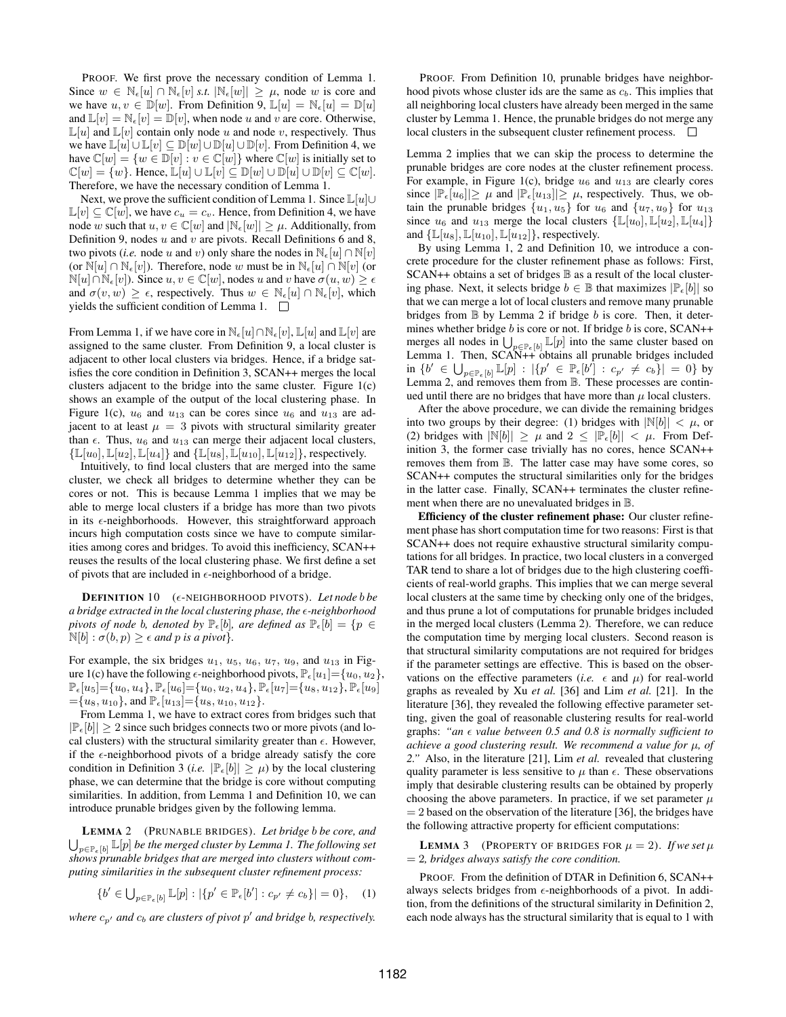PROOF. We first prove the necessary condition of Lemma 1. Since  $w \in \mathbb{N}_{\epsilon}[u] \cap \mathbb{N}_{\epsilon}[v]$  *s.t.*  $|\mathbb{N}_{\epsilon}[w]| \geq \mu$ , node w is core and we have  $u, v \in \mathbb{D}[w]$ . From Definition 9,  $\mathbb{L}[u] = \mathbb{N}_{\epsilon}[u] = \mathbb{D}[u]$ and  $\mathbb{L}[v] = \mathbb{N}_{\epsilon}[v] = \mathbb{D}[v]$ , when node u and v are core. Otherwise,  $\mathbb{L}[u]$  and  $\mathbb{L}[v]$  contain only node u and node v, respectively. Thus we have  $\mathbb{L}[u] \cup \mathbb{L}[v] \subset \mathbb{D}[w] \cup \mathbb{D}[u] \cup \mathbb{D}[v]$ . From Definition 4, we have  $\mathbb{C}[w] = \{w \in \mathbb{D}[v] : v \in \mathbb{C}[w]\}$  where  $\mathbb{C}[w]$  is initially set to  $\mathbb{C}[w] = \{w\}$ . Hence,  $\mathbb{L}[u] \cup \mathbb{L}[v] \subseteq \mathbb{D}[w] \cup \mathbb{D}[u] \cup \mathbb{D}[v] \subseteq \mathbb{C}[w]$ . Therefore, we have the necessary condition of Lemma 1.

Next, we prove the sufficient condition of Lemma 1. Since  $\mathbb{L}[u] \cup$  $\mathbb{L}[v] \subseteq \mathbb{C}[w]$ , we have  $c_u = c_v$ . Hence, from Definition 4, we have node w such that  $u, v \in \mathbb{C}[w]$  and  $|\mathbb{N}_{\epsilon}[w]| \geq \mu$ . Additionally, from Definition 9, nodes  $u$  and  $v$  are pivots. Recall Definitions 6 and 8, two pivots (*i.e.* node u and v) only share the nodes in  $\mathbb{N}_{\epsilon}[u] \cap \mathbb{N}[v]$ (or  $\mathbb{N}[u] \cap \mathbb{N}_{\epsilon}[v]$ ). Therefore, node w must be in  $\mathbb{N}_{\epsilon}[u] \cap \mathbb{N}[v]$  (or  $\mathbb{N}[u] \cap \mathbb{N}_{\epsilon}[v]$ . Since  $u, v \in \mathbb{C}[w]$ , nodes u and v have  $\sigma(u, w) \geq \epsilon$ and  $\sigma(v, w) \geq \epsilon$ , respectively. Thus  $w \in \mathbb{N}_{\epsilon}[u] \cap \mathbb{N}_{\epsilon}[v]$ , which yields the sufficient condition of Lemma 1.  $\Box$ 

From Lemma 1, if we have core in  $\mathbb{N}_{\epsilon}[u] \cap \mathbb{N}_{\epsilon}[v]$ ,  $\mathbb{L}[u]$  and  $\mathbb{L}[v]$  are assigned to the same cluster. From Definition 9, a local cluster is adjacent to other local clusters via bridges. Hence, if a bridge satisfies the core condition in Definition 3, SCAN++ merges the local clusters adjacent to the bridge into the same cluster. Figure 1(c) shows an example of the output of the local clustering phase. In Figure 1(c),  $u_6$  and  $u_{13}$  can be cores since  $u_6$  and  $u_{13}$  are adjacent to at least  $\mu = 3$  pivots with structural similarity greater than  $\epsilon$ . Thus,  $u_6$  and  $u_{13}$  can merge their adjacent local clusters,  $\{\mathbb{L}[u_0], \mathbb{L}[u_2], \mathbb{L}[u_4]\}$  and  $\{\mathbb{L}[u_8], \mathbb{L}[u_{10}], \mathbb{L}[u_{12}]\}$ , respectively.

Intuitively, to find local clusters that are merged into the same cluster, we check all bridges to determine whether they can be cores or not. This is because Lemma 1 implies that we may be able to merge local clusters if a bridge has more than two pivots in its  $\epsilon$ -neighborhoods. However, this straightforward approach incurs high computation costs since we have to compute similarities among cores and bridges. To avoid this inefficiency, SCAN++ reuses the results of the local clustering phase. We first define a set of pivots that are included in  $\epsilon$ -neighborhood of a bridge.

DEFINITION 10 ( $\epsilon$ -NEIGHBORHOOD PIVOTS). Let node *b* be *a bridge extracted in the local clustering phase, the -neighborhood pivots of node b, denoted by*  $\mathbb{P}_{\epsilon}[b]$ *, are defined as*  $\mathbb{P}_{\epsilon}[b] = \{p \in$  $\mathbb{N}[b] : \sigma(b, p) \geq \epsilon$  *and p is a pivot*}.

For example, the six bridges  $u_1$ ,  $u_5$ ,  $u_6$ ,  $u_7$ ,  $u_9$ , and  $u_{13}$  in Figure 1(c) have the following  $\epsilon$ -neighborhood pivots,  $\mathbb{P}_{\epsilon}[u_1]=\{u_0, u_2\},\,$  $\mathbb{P}_{\epsilon}[u_5] = \{u_0, u_4\}, \mathbb{P}_{\epsilon}[u_6] = \{u_0, u_2, u_4\}, \mathbb{P}_{\epsilon}[u_7] = \{u_8, u_{12}\}, \mathbb{P}_{\epsilon}[u_9]$  $=\{u_8, u_{10}\}\,$  and  $\mathbb{P}_{\epsilon}[u_{13}]=\{u_8, u_{10}, u_{12}\}.$ 

From Lemma 1, we have to extract cores from bridges such that  $|\mathbb{P}_{\epsilon}[b]| \geq 2$  since such bridges connects two or more pivots (and local clusters) with the structural similarity greater than  $\epsilon$ . However, if the  $\epsilon$ -neighborhood pivots of a bridge already satisfy the core condition in Definition 3 (*i.e.*  $\left|\mathbb{P}_{\epsilon}[b]\right| \geq \mu$ ) by the local clustering phase, we can determine that the bridge is core without computing similarities. In addition, from Lemma 1 and Definition 10, we can introduce prunable bridges given by the following lemma.

 $\bigcup_{p\in\mathbb{P}_{\epsilon}[b]}\mathbb{L}[p]$  *be the merged cluster by Lemma 1. The following set* LEMMA 2 (PRUNABLE BRIDGES). *Let bridge* b *be core, and shows prunable bridges that are merged into clusters without computing similarities in the subsequent cluster refinement process:*

$$
\{b' \in \bigcup_{p \in \mathbb{P}_{\epsilon}[b]} \mathbb{L}[p] : |\{p' \in \mathbb{P}_{\epsilon}[b'] : c_{p'} \neq c_b\}| = 0\},\quad(1)
$$

*where*  $c_{p'}$  *and*  $c_b$  *are clusters of pivot*  $p'$  *and bridge b, respectively.* 

PROOF. From Definition 10, prunable bridges have neighborhood pivots whose cluster ids are the same as  $c<sub>b</sub>$ . This implies that all neighboring local clusters have already been merged in the same cluster by Lemma 1. Hence, the prunable bridges do not merge any local clusters in the subsequent cluster refinement process.  $\Box$ 

Lemma 2 implies that we can skip the process to determine the prunable bridges are core nodes at the cluster refinement process. For example, in Figure 1(c), bridge  $u_6$  and  $u_{13}$  are clearly cores since  $|\mathbb{P}_{\epsilon}[u_6]| \geq \mu$  and  $|\mathbb{P}_{\epsilon}[u_{13}]| \geq \mu$ , respectively. Thus, we obtain the prunable bridges  $\{u_1, u_5\}$  for  $u_6$  and  $\{u_7, u_9\}$  for  $u_{13}$ since  $u_6$  and  $u_{13}$  merge the local clusters  $\{\mathbb{L}[u_0], \mathbb{L}[u_2], \mathbb{L}[u_4]\}$ and  $\{\mathbb{L}[u_8], \mathbb{L}[u_{10}], \mathbb{L}[u_{12}]\}$ , respectively.

By using Lemma 1, 2 and Definition 10, we introduce a concrete procedure for the cluster refinement phase as follows: First,  $SCAN++$  obtains a set of bridges  $\mathbb B$  as a result of the local clustering phase. Next, it selects bridge  $b \in \mathbb{B}$  that maximizes  $|\mathbb{P}_{\epsilon}[b]|$  so that we can merge a lot of local clusters and remove many prunable bridges from  $\mathbb B$  by Lemma 2 if bridge b is core. Then, it determines whether bridge  $b$  is core or not. If bridge  $b$  is core, SCAN++ merges all nodes in  $\bigcup_{p \in \mathbb{P}_\epsilon[b]} \mathbb{L}[p]$  into the same cluster based on Lemma 1. Then, SCAN++ obtains all prunable bridges included in  $\{b' \in \bigcup_{p \in \mathbb{P}_{\epsilon}[b]} \mathbb{L}[p] : |\{p' \in \mathbb{P}_{\epsilon}[b'] : c_{p'} \neq c_b\}| = 0\}$  by Lemma 2, and removes them from B. These processes are continued until there are no bridges that have more than  $\mu$  local clusters.

After the above procedure, we can divide the remaining bridges into two groups by their degree: (1) bridges with  $|\mathbb{N}[b]| < \mu$ , or (2) bridges with  $|\mathbb{N}[b]| \geq \mu$  and  $2 \leq |\mathbb{P}_{\epsilon}[b]| < \mu$ . From Definition 3, the former case trivially has no cores, hence SCAN++ removes them from B. The latter case may have some cores, so SCAN++ computes the structural similarities only for the bridges in the latter case. Finally, SCAN++ terminates the cluster refinement when there are no unevaluated bridges in B.

Efficiency of the cluster refinement phase: Our cluster refinement phase has short computation time for two reasons: First is that SCAN++ does not require exhaustive structural similarity computations for all bridges. In practice, two local clusters in a converged TAR tend to share a lot of bridges due to the high clustering coefficients of real-world graphs. This implies that we can merge several local clusters at the same time by checking only one of the bridges, and thus prune a lot of computations for prunable bridges included in the merged local clusters (Lemma 2). Therefore, we can reduce the computation time by merging local clusters. Second reason is that structural similarity computations are not required for bridges if the parameter settings are effective. This is based on the observations on the effective parameters (*i.e.*  $\epsilon$  and  $\mu$ ) for real-world graphs as revealed by Xu *et al.* [36] and Lim *et al.* [21]. In the literature [36], they revealed the following effective parameter setting, given the goal of reasonable clustering results for real-world graphs: "an  $\epsilon$  value between 0.5 and 0.8 is normally sufficient to *achieve a good clustering result. We recommend a value for* µ*, of 2."* Also, in the literature [21], Lim *et al.* revealed that clustering quality parameter is less sensitive to  $\mu$  than  $\epsilon$ . These observations imply that desirable clustering results can be obtained by properly choosing the above parameters. In practice, if we set parameter  $\mu$  $= 2$  based on the observation of the literature [36], the bridges have the following attractive property for efficient computations:

**LEMMA 3** (PROPERTY OF BRIDGES FOR  $\mu = 2$ ). *If we set*  $\mu$ = 2*, bridges always satisfy the core condition.*

PROOF. From the definition of DTAR in Definition 6, SCAN++ always selects bridges from  $\epsilon$ -neighborhoods of a pivot. In addition, from the definitions of the structural similarity in Definition 2, each node always has the structural similarity that is equal to 1 with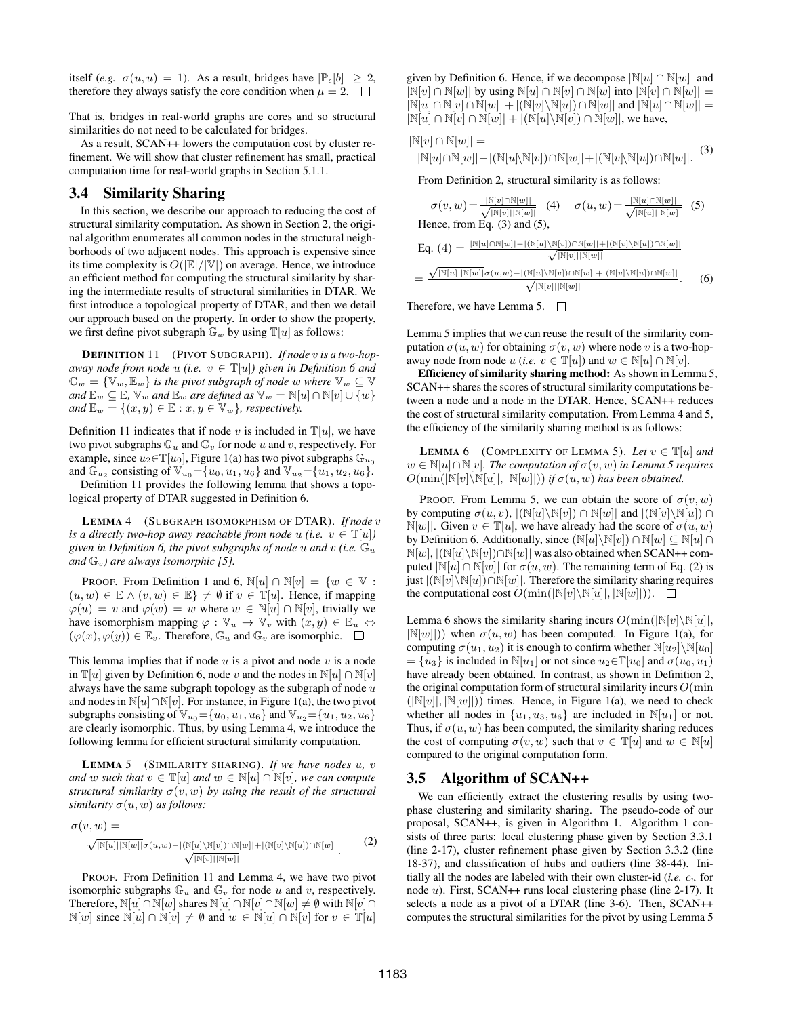itself (*e.g.*  $\sigma(u, u) = 1$ ). As a result, bridges have  $|\mathbb{P}_{\epsilon}[b]| > 2$ , therefore they always satisfy the core condition when  $\mu = 2$ .  $\Box$ 

That is, bridges in real-world graphs are cores and so structural similarities do not need to be calculated for bridges.

As a result, SCAN++ lowers the computation cost by cluster refinement. We will show that cluster refinement has small, practical computation time for real-world graphs in Section 5.1.1.

# 3.4 Similarity Sharing

In this section, we describe our approach to reducing the cost of structural similarity computation. As shown in Section 2, the original algorithm enumerates all common nodes in the structural neighborhoods of two adjacent nodes. This approach is expensive since its time complexity is  $O(|E|/|\mathbb{V}|)$  on average. Hence, we introduce an efficient method for computing the structural similarity by sharing the intermediate results of structural similarities in DTAR. We first introduce a topological property of DTAR, and then we detail our approach based on the property. In order to show the property, we first define pivot subgraph  $\mathbb{G}_w$  by using  $\mathbb{T}[u]$  as follows:

DEFINITION 11 (PIVOT SUBGRAPH). *If node* v *is a two-hopaway node from node* u (*i.e.*  $v \in \mathbb{T}[u]$ *) given in Definition 6 and*  $\mathbb{G}_w = {\mathbb{V}_w, \mathbb{E}_w}$  *is the pivot subgraph of node* w where  $\mathbb{V}_w \subseteq \mathbb{V}$ *and*  $\mathbb{E}_w$  ⊆  $\mathbb{E}$ *,*  $\mathbb{V}_w$  *and*  $\mathbb{E}_w$  *are defined as*  $\mathbb{V}_w$  =  $\mathbb{N}[u] \cap \mathbb{N}[v] \cup \{w\}$ *and*  $\mathbb{E}_w = \{(x, y) \in \mathbb{E} : x, y \in \mathbb{V}_w\}$ *, respectively.* 

Definition 11 indicates that if node v is included in  $\mathbb{T}[u]$ , we have two pivot subgraphs  $\mathbb{G}_u$  and  $\mathbb{G}_v$  for node u and v, respectively. For example, since  $u_2 \in \mathbb{T}[u_0]$ , Figure 1(a) has two pivot subgraphs  $\mathbb{G}_{u_0}$ and  $\mathbb{G}_{u_2}$  consisting of  $\mathbb{V}_{u_0} = \{u_0, u_1, u_6\}$  and  $\mathbb{V}_{u_2} = \{u_1, u_2, u_6\}$ .

Definition 11 provides the following lemma that shows a topological property of DTAR suggested in Definition 6.

LEMMA 4 (SUBGRAPH ISOMORPHISM OF DTAR). *If node* v *is a directly two-hop away reachable from node*  $u$  *(i.e.*  $v \in \mathbb{T}[u]$ *) given in Definition 6, the pivot subgraphs of node* u and v (*i.e.*  $\mathbb{G}_u$ *and*  $\mathbb{G}_v$ *) are always isomorphic* [5].

PROOF. From Definition 1 and 6,  $\mathbb{N}[u] \cap \mathbb{N}[v] = \{w \in \mathbb{V} :$  $(u, w) \in \mathbb{E} \wedge (v, w) \in \mathbb{E} \} \neq \emptyset$  if  $v \in \mathbb{T}[u]$ . Hence, if mapping  $\varphi(u) = v$  and  $\varphi(w) = w$  where  $w \in \mathbb{N}[u] \cap \mathbb{N}[v]$ , trivially we have isomorphism mapping  $\varphi : \mathbb{V}_u \to \mathbb{V}_v$  with  $(x, y) \in \mathbb{E}_u$   $\Leftrightarrow$  $(\varphi(x), \varphi(y)) \in \mathbb{E}_v$ . Therefore,  $\mathbb{G}_u$  and  $\mathbb{G}_v$  are isomorphic.  $\square$ 

This lemma implies that if node  $u$  is a pivot and node  $v$  is a node in  $\mathbb{T}[u]$  given by Definition 6, node v and the nodes in  $\mathbb{N}[u] \cap \mathbb{N}[v]$ always have the same subgraph topology as the subgraph of node  $u$ and nodes in  $\mathbb{N}[u] \cap \mathbb{N}[v]$ . For instance, in Figure 1(a), the two pivot subgraphs consisting of  $\mathbb{V}_{u_0} = \{u_0, u_1, u_6\}$  and  $\mathbb{V}_{u_2} = \{u_1, u_2, u_6\}$ are clearly isomorphic. Thus, by using Lemma 4, we introduce the following lemma for efficient structural similarity computation.

LEMMA 5 (SIMILARITY SHARING). *If we have nodes* u*,* v *and* w such that  $v \in \mathbb{T}[u]$  *and*  $w \in \mathbb{N}[u] \cap \mathbb{N}[v]$ *, we can compute structural similarity*  $\sigma(v, w)$  *by using the result of the structural similarity*  $\sigma(u, w)$  *as follows:* 

$$
\sigma(v, w) = \frac{\sqrt{|\mathbb{N}[u]|\mathbb{N}[w]|}\sigma(u, w) - |\mathbb{N}[u]\backslash \mathbb{N}[v]) \cap \mathbb{N}[w]| + |\mathbb{N}[v]\backslash \mathbb{N}[u]) \cap \mathbb{N}[w]|}}{\sqrt{|\mathbb{N}[v]|\mathbb{N}[w]|}}.
$$
\n(2)

PROOF. From Definition 11 and Lemma 4, we have two pivot isomorphic subgraphs  $\mathbb{G}_u$  and  $\mathbb{G}_v$  for node u and v, respectively. Therefore,  $\mathbb{N}[u] \cap \mathbb{N}[w]$  shares  $\mathbb{N}[u] \cap \mathbb{N}[v] \cap \mathbb{N}[w] \neq \emptyset$  with  $\mathbb{N}[v] \cap$  $\mathbb{N}[w]$  since  $\mathbb{N}[u] \cap \mathbb{N}[v] \neq \emptyset$  and  $w \in \mathbb{N}[u] \cap \mathbb{N}[v]$  for  $v \in \mathbb{T}[u]$  given by Definition 6. Hence, if we decompose  $|\mathbb{N}[u] \cap \mathbb{N}[w]|$  and  $|\mathbb{N}[v] \cap \mathbb{N}[w]|$  by using  $\mathbb{N}[u] \cap \mathbb{N}[v] \cap \mathbb{N}[w]$  into  $|\mathbb{N}[v] \cap \mathbb{N}[w]| =$  $|\mathbb{N}[u] \cap \mathbb{N}[v] \cap \mathbb{N}[w]| + |(\mathbb{N}[v] \setminus \mathbb{N}[u]) \cap \mathbb{N}[w]|$  and  $|\mathbb{N}[u] \cap \mathbb{N}[w]| =$  $|\mathbb{N}[u] \cap \mathbb{N}[v] \cap \mathbb{N}[w]| + |(\mathbb{N}[u] \setminus \mathbb{N}[v]) \cap \mathbb{N}[w]|$ , we have,

$$
|\mathbb{N}[v] \cap \mathbb{N}[w]| =
$$
  

$$
|\mathbb{N}[u] \cap \mathbb{N}[w]| - |(\mathbb{N}[u] \cap \mathbb{N}[v]) \cap \mathbb{N}[w]| + |(\mathbb{N}[v] \cap \mathbb{N}[u]) \cap \mathbb{N}[w]|.
$$
 (3)

From Definition 2, structural similarity is as follows:

$$
\sigma(v, w) = \frac{|\mathbb{N}[v] \cap \mathbb{N}[w]|}{\sqrt{|\mathbb{N}[v]| |\mathbb{N}[w]|}} \quad (4) \qquad \sigma(u, w) = \frac{|\mathbb{N}[u] \cap \mathbb{N}[w]|}{\sqrt{|\mathbb{N}[u]| |\mathbb{N}[w]|}} \quad (5)
$$
  
Hence, from Eq. (3) and (5),

Eq. (4) = 
$$
\frac{N[u]\cap N[w]|-|N[u]\setminus N[v])\cap N[w]|+|N[v]\setminus N[u]\cap N[w]|}{\sqrt{|N[v]||N[w]|}}
$$
  

$$
\sqrt{\frac{|N[u]||N[w]|}{\sigma(u,w)-|N[u]\setminus N[v]\cap N[w]|+|N[v]\setminus N[u]\cap N[w]|}}
$$

$$
= \frac{\sqrt{|\mathbb{N}[u]||\mathbb{N}[w][\sigma(u,w)-|(\mathbb{N}[u])\cap \mathbb{N}[w]]+|(\mathbb{N}[v]\cap \mathbb{N}[u])\cap \mathbb{N}[w]]}}{\sqrt{|\mathbb{N}[v]||\mathbb{N}[w]}}.
$$
 (6)

Therefore, we have Lemma 5.  $\Box$ 

Lemma 5 implies that we can reuse the result of the similarity computation  $\sigma(u, w)$  for obtaining  $\sigma(v, w)$  where node v is a two-hopaway node from node u (*i.e.*  $v \in \mathbb{T}[u]$ ) and  $w \in \mathbb{N}[u] \cap \mathbb{N}[v]$ .

Efficiency of similarity sharing method: As shown in Lemma 5, SCAN++ shares the scores of structural similarity computations between a node and a node in the DTAR. Hence, SCAN++ reduces the cost of structural similarity computation. From Lemma 4 and 5, the efficiency of the similarity sharing method is as follows:

**LEMMA 6** (COMPLEXITY OF LEMMA 5). Let  $v \in \mathbb{T}[u]$  and w ∈ N[u]∩N[v]*. The computation of* σ(v, w) *in Lemma 5 requires*  $O(\min(|\mathbb{N}[v]\setminus \mathbb{N}[u]|, |\mathbb{N}[w]|))$  *if*  $\sigma(u, w)$  *has been obtained.* 

PROOF. From Lemma 5, we can obtain the score of  $\sigma(v, w)$ by computing  $\sigma(u, v)$ ,  $|\mathbb{N}[u]\setminus \mathbb{N}[v]) \cap \mathbb{N}[w]|$  and  $|\mathbb{N}[v]\setminus \mathbb{N}[u]) \cap$  $\mathbb{N}[w]$ . Given  $v \in \mathbb{T}[u]$ , we have already had the score of  $\sigma(u, w)$ by Definition 6. Additionally, since  $(\mathbb{N}[u]\setminus \mathbb{N}[v]) \cap \mathbb{N}[w] \subseteq \mathbb{N}[u] \cap$  $\mathbb{N}[w]$ ,  $|\mathbb{N}[u]\setminus\mathbb{N}[v]\cap\mathbb{N}[w]|$  was also obtained when SCAN++ computed  $|\mathbb{N}[u] \cap \mathbb{N}[w]|$  for  $\sigma(u, w)$ . The remaining term of Eq. (2) is just  $|(\mathbb{N}[v]\setminus \mathbb{N}[u])\cap \mathbb{N}[w]|$ . Therefore the similarity sharing requires the computational cost  $O(\min(|\mathbb{N}[v]\setminus \mathbb{N}[u]|, |\mathbb{N}[w]|)).$ 

Lemma 6 shows the similarity sharing incurs  $O(\min(|\mathbb{N}[v]\setminus \mathbb{N}[u])$ ,  $|\mathbb{N}[w]|$ ) when  $\sigma(u, w)$  has been computed. In Figure 1(a), for computing  $\sigma(u_1, u_2)$  it is enough to confirm whether  $\mathbb{N}[u_2]\setminus\mathbb{N}[u_0]$  $=\{u_3\}$  is included in  $\mathbb{N}[u_1]$  or not since  $u_2 \in \mathbb{T}[u_0]$  and  $\sigma(u_0, u_1)$ have already been obtained. In contrast, as shown in Definition 2, the original computation form of structural similarity incurs  $O(\text{min})$  $(|\mathbb{N}[v]|, |\mathbb{N}[w]|)$  times. Hence, in Figure 1(a), we need to check whether all nodes in  $\{u_1, u_3, u_6\}$  are included in  $\mathbb{N}[u_1]$  or not. Thus, if  $\sigma(u, w)$  has been computed, the similarity sharing reduces the cost of computing  $\sigma(v, w)$  such that  $v \in \mathbb{T}[u]$  and  $w \in \mathbb{N}[u]$ compared to the original computation form.

#### 3.5 Algorithm of SCAN++

We can efficiently extract the clustering results by using twophase clustering and similarity sharing. The pseudo-code of our proposal, SCAN++, is given in Algorithm 1. Algorithm 1 consists of three parts: local clustering phase given by Section 3.3.1 (line 2-17), cluster refinement phase given by Section 3.3.2 (line 18-37), and classification of hubs and outliers (line 38-44). Initially all the nodes are labeled with their own cluster-id (*i.e.*  $c<sub>u</sub>$  for node u). First, SCAN++ runs local clustering phase (line 2-17). It selects a node as a pivot of a DTAR (line 3-6). Then, SCAN++ computes the structural similarities for the pivot by using Lemma 5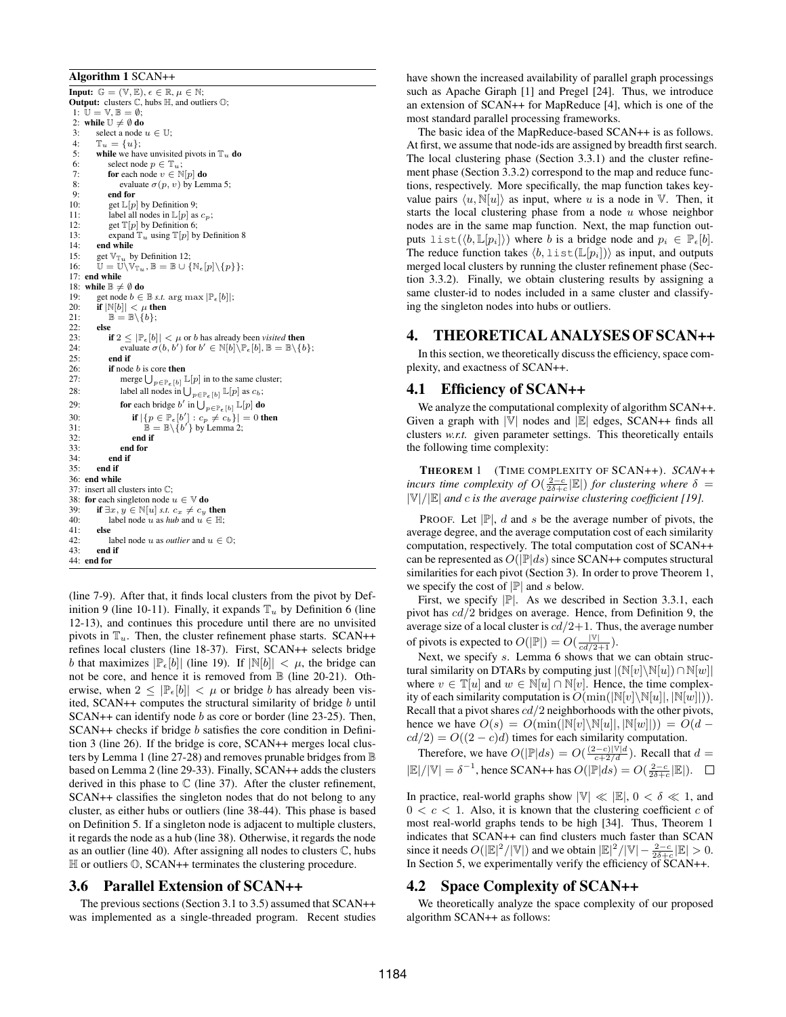#### Algorithm 1 SCAN++

**Input:**  $\mathbb{G} = (\mathbb{V}, \mathbb{E}), \epsilon \in \mathbb{R}, \mu \in \mathbb{N};$ **Output:** clusters  $\mathbb{C}$ , hubs  $\mathbb{H}$ , and outliers  $\mathbb{O}$ ; 1:  $\mathbb{U} = \mathbb{V}, \mathbb{B} = \emptyset;$ 2: while  $\mathbb{U} \neq \emptyset$  do<br>3: select a node select a node  $u \in \mathbb{U}$ : 4:  $\mathbb{T}_u = \{u\};$ 5: while we have unvisited pivots in  $\mathbb{T}_u$  do select node  $p \in \mathbb{T}_u$ : 6: select node  $p \in \mathbb{T}_u$ ;<br>7. **for** each node  $v \in \mathbb{N}$ for each node  $v \in \mathbb{N}[p]$  do 8: evaluate  $\sigma(p, v)$  by Lemma 5; 9: end for 10: get  $\mathbb{L}[p]$  by Definition 9; 11: **label all nodes in**  $\mathbb{L}[p]$  as  $c_p$ ;<br>12:  $\text{set } \mathbb{T}[p]$  by Definition 6: get  $\mathbb{T}[p]$  by Definition 6; 13: expand  $\mathbb{T}_u$  using  $\mathbb{T}[p]$  by Definition 8<br>14: end while end while 15: get  $V_{T_u}$  by Definition 12;<br>16:  $U = U \setminus V_T$ ,  $B = B \cup I$  $\mathbb{U} = \mathbb{U} \backslash \mathbb{V}_{\mathbb{T}_u}, \mathbb{B} = \mathbb{B} \cup \{ \mathbb{N}_{\epsilon}[p] \backslash \{p\} \};$ 17: end while 18: while  $\mathbb{B} \neq \emptyset$  do<br>19: get node  $b \in$ 19: get node  $b \in \mathbb{B}$  *s.t.* arg max  $|\mathbb{P}_{\epsilon}[b]|$ ;<br>20: **if**  $|\mathbb{N}[b]| \leq \mu$  then 20: if  $|\mathbb{N}[b]| < \mu$  then<br>21:  $\mathbb{B} = \mathbb{B} \setminus \{b\};$  $\mathbb{B} = \mathbb{B} \backslash \{b\};$ 22: else<br>  $23 \cdot$  i if  $2 \leq |\mathbb{P}_{\epsilon}[b]| < \mu$  or b has already been *visited* then 24: evaluate  $\sigma(b, b')$  for  $b' \in \mathbb{N}[b] \setminus \mathbb{P}_{\epsilon}[b], \mathbb{B} = \mathbb{B} \setminus \{b\};$  $25$  end if 26: **if** node *b* is core then<br>27: merge  $\begin{bmatrix} 1 & -\end{bmatrix}$ 27: merge  $\bigcup_{p \in \mathbb{P}_{\epsilon}[b]} \mathbb{L}[p]$  in to the same cluster; 28: label all nodes in  $\bigcup_{p \in \mathbb{P}_{\epsilon}[b]} \mathbb{L}[p]$  as  $c_b$ ; 29: **for** each bridge b' in  $\bigcup_{p \in \mathbb{P}_{\epsilon}[b]}^{\infty} \mathbb{L}[p]$  **do** 30: **if**  $|\{p \in \mathbb{P}_{\epsilon}[b'] : c_p \neq c_b\}| = 0$  then<br>31:  $\mathbb{B} = \mathbb{B}\setminus\{b'\}$  by Lemma 2; 32: end if  $33:$  end for  $34:$  end if end if 35: end if 36: end while 37: insert all clusters into C; 38: for each singleton node  $u \in \mathbb{V}$  do<br>39: if  $\exists x, y \in \mathbb{N}[u]$  s.t.  $c_n \neq c_n$ 39: **if**  $\exists x, y \in \mathbb{N}[u]$  *s.t.*  $c_x \neq c_y$  **then**<br>40: **label node** *u* as *hub* and  $u \in \mathbb{H}$ . label node u as *hub* and  $u \in \mathbb{H}$ 41: else 42: label node u as *outlier* and  $u \in \mathbb{Q}$ :  $43$  end if 44: end for

(line 7-9). After that, it finds local clusters from the pivot by Definition 9 (line 10-11). Finally, it expands  $\mathbb{T}_u$  by Definition 6 (line 12-13), and continues this procedure until there are no unvisited pivots in  $\mathbb{T}_u$ . Then, the cluster refinement phase starts. SCAN++ refines local clusters (line 18-37). First, SCAN++ selects bridge b that maximizes  $|\mathbb{P}_{\epsilon}[b]|$  (line 19). If  $|\mathbb{N}[b]| < \mu$ , the bridge can not be core, and hence it is removed from  $\mathbb B$  (line 20-21). Otherwise, when  $2 \leq |\mathbb{P}_{\epsilon}[b]| < \mu$  or bridge b has already been visited,  $SCAN++$  computes the structural similarity of bridge  $b$  until SCAN++ can identify node b as core or border (line 23-25). Then, SCAN++ checks if bridge b satisfies the core condition in Definition 3 (line 26). If the bridge is core, SCAN++ merges local clusters by Lemma 1 (line 27-28) and removes prunable bridges from B based on Lemma 2 (line 29-33). Finally, SCAN++ adds the clusters derived in this phase to  $\mathbb C$  (line 37). After the cluster refinement, SCAN++ classifies the singleton nodes that do not belong to any cluster, as either hubs or outliers (line 38-44). This phase is based on Definition 5. If a singleton node is adjacent to multiple clusters, it regards the node as a hub (line 38). Otherwise, it regards the node as an outlier (line 40). After assigning all nodes to clusters  $\mathbb{C}$ , hubs H or outliers O, SCAN++ terminates the clustering procedure.

#### 3.6 Parallel Extension of SCAN++

The previous sections (Section 3.1 to 3.5) assumed that SCAN++ was implemented as a single-threaded program. Recent studies

have shown the increased availability of parallel graph processings such as Apache Giraph [1] and Pregel [24]. Thus, we introduce an extension of SCAN++ for MapReduce [4], which is one of the most standard parallel processing frameworks.

The basic idea of the MapReduce-based SCAN++ is as follows. At first, we assume that node-ids are assigned by breadth first search. The local clustering phase (Section 3.3.1) and the cluster refinement phase (Section 3.3.2) correspond to the map and reduce functions, respectively. More specifically, the map function takes keyvalue pairs  $\langle u, \mathbb{N}[u] \rangle$  as input, where u is a node in V. Then, it starts the local clustering phase from a node  $u$  whose neighbor nodes are in the same map function. Next, the map function outputs list( $\langle b, \mathbb{L}[p_i] \rangle$ ) where b is a bridge node and  $p_i \in \mathbb{P}_{\epsilon}[b]$ . The reduce function takes  $\langle b, \text{list}(\mathbb{L}[p_i]) \rangle$  as input, and outputs merged local clusters by running the cluster refinement phase (Section 3.3.2). Finally, we obtain clustering results by assigning a same cluster-id to nodes included in a same cluster and classifying the singleton nodes into hubs or outliers.

## 4. THEORETICAL ANALYSES OF SCAN++

In this section, we theoretically discuss the efficiency, space complexity, and exactness of SCAN++.

#### 4.1 Efficiency of SCAN++

We analyze the computational complexity of algorithm SCAN++. Given a graph with  $|\mathbb{V}|$  nodes and  $|\mathbb{E}|$  edges, SCAN++ finds all clusters *w.r.t.* given parameter settings. This theoretically entails the following time complexity:

THEOREM 1 (TIME COMPLEXITY OF SCAN++). *SCAN++ incurs time complexity of*  $O(\frac{2-c}{2\delta+c}|\mathbb{E}|)$  *for clustering where*  $\delta =$ |V|/|E| *and* c *is the average pairwise clustering coefficient [19].*

PROOF. Let  $|\mathbb{P}|$ , d and s be the average number of pivots, the average degree, and the average computation cost of each similarity computation, respectively. The total computation cost of SCAN++ can be represented as  $O(|\mathbb{P}|ds)$  since SCAN++ computes structural similarities for each pivot (Section 3). In order to prove Theorem 1, we specify the cost of  $|\mathbb{P}|$  and s below.

First, we specify  $|\mathbb{P}|$ . As we described in Section 3.3.1, each pivot has cd/2 bridges on average. Hence, from Definition 9, the average size of a local cluster is  $cd/2+1$ . Thus, the average number of pivots is expected to  $O(|\mathbb{P}|) = O(\frac{|\mathbb{V}|}{cd/2+1})$ .

Next, we specify s. Lemma 6 shows that we can obtain structural similarity on DTARs by computing just  $|(\mathbb{N}[v]\setminus \mathbb{N}[u]) \cap \mathbb{N}[w]|$ where  $v \in \mathbb{T}[u]$  and  $w \in \mathbb{N}[u] \cap \mathbb{N}[v]$ . Hence, the time complexity of each similarity computation is  $O(\min(|\mathbb{N}[v]\setminus \mathbb{N}[u]|, |\mathbb{N}[w]|)).$ Recall that a pivot shares  $cd/2$  neighborhoods with the other pivots, hence we have  $O(s) = O(\min(|\mathbb{N}[v]\setminus \mathbb{N}[u]|, |\mathbb{N}[w]|)) = O(d$  $cd/2$ ) =  $O((2 - c)d)$  times for each similarity computation.

Therefore, we have  $O(|\mathbb{P}|ds) = O(\frac{(2-c)|\mathbb{V}|d}{c+2/d})$ . Recall that  $d =$  $|\mathbb{E}|/|\mathbb{V}| = \delta^{-1}$ , hence SCAN++ has  $O(|\mathbb{P}|ds) = O(\frac{2-c}{2\delta+c}|\mathbb{E}|)$ .

In practice, real-world graphs show  $|\mathbb{V}| \ll |\mathbb{E}|$ ,  $0 < \delta \ll 1$ , and  $0 < c < 1$ . Also, it is known that the clustering coefficient c of most real-world graphs tends to be high [34]. Thus, Theorem 1 indicates that SCAN++ can find clusters much faster than SCAN since it needs  $O(|\mathbb{E}|^2/|\mathbb{V}|)$  and we obtain  $|\mathbb{E}|^2/|\mathbb{V}| - \frac{2-c}{2\delta+c} |\mathbb{E}| > 0$ . In Section 5, we experimentally verify the efficiency of SCAN++.

# 4.2 Space Complexity of SCAN++

We theoretically analyze the space complexity of our proposed algorithm SCAN++ as follows: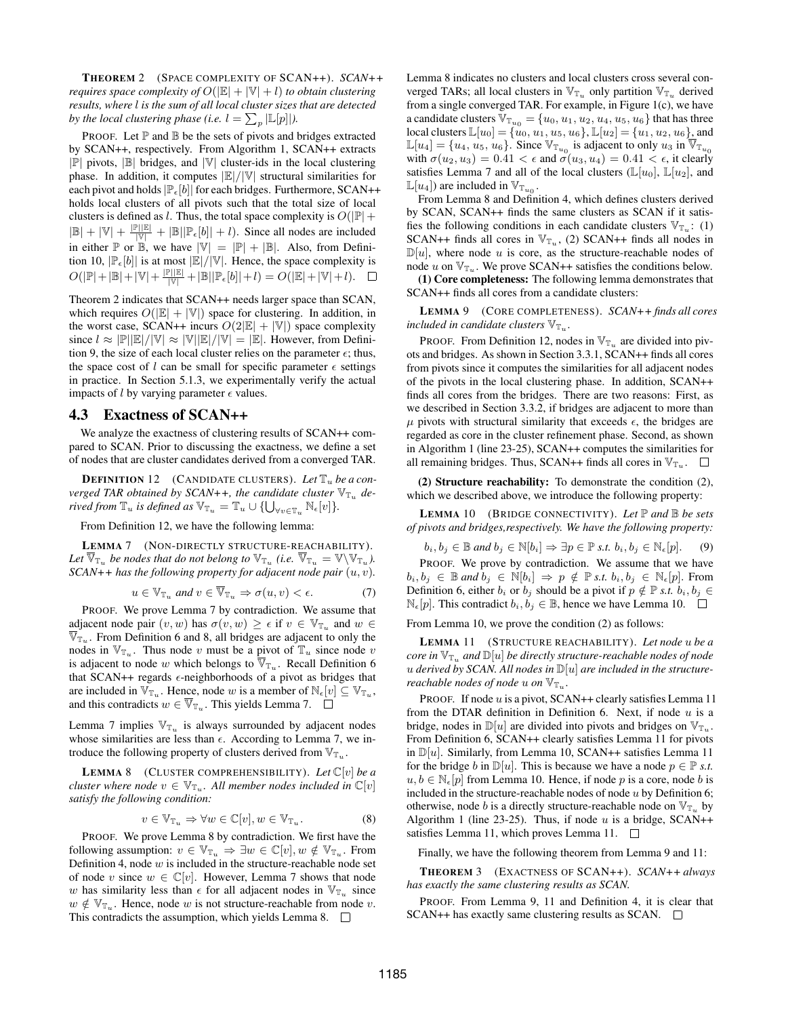THEOREM 2 (SPACE COMPLEXITY OF SCAN++). *SCAN++ requires space complexity of*  $O(|\mathbb{E}| + |\mathbb{V}| + l)$  *to obtain clustering results, where* l *is the sum of all local cluster sizes that are detected* by the local clustering phase (i.e.  $l = \sum_{p} |\mathbb{L}[p]|$ ).

PROOF. Let  $\mathbb P$  and  $\mathbb B$  be the sets of pivots and bridges extracted by SCAN++, respectively. From Algorithm 1, SCAN++ extracts  $|\mathbb{P}|$  pivots,  $|\mathbb{B}|$  bridges, and  $|\mathbb{V}|$  cluster-ids in the local clustering phase. In addition, it computes  $|\mathbb{E}|/|\mathbb{V}|$  structural similarities for each pivot and holds  $|\mathbb{P}_{\epsilon}[b]|$  for each bridges. Furthermore, SCAN++ holds local clusters of all pivots such that the total size of local clusters is defined as *l*. Thus, the total space complexity is  $O(|\mathbb{P}| + \mathbb{P}|)$  $|\mathbb{B}| + |\mathbb{V}| + \frac{|\mathbb{P}||\mathbb{E}|}{|\mathbb{V}|} + |\mathbb{B}||\mathbb{P}_{\epsilon}[b]| + l$ . Since all nodes are included in either  $\mathbb P$  or  $\mathbb B$ , we have  $|\mathbb V| = |\mathbb P| + |\mathbb B|$ . Also, from Definition 10,  $|\mathbb{P}_{\epsilon}[b]|$  is at most  $|\mathbb{E}|/|\mathbb{V}|$ . Hence, the space complexity is  $O(|\mathbb{P}|+|\mathbb{B}|+|\mathbb{V}|+\frac{|\mathbb{P}||\mathbb{E}|}{|\mathbb{V}|}+|\mathbb{B}||\mathbb{P}_{\epsilon}[b]|+l)=O(|\mathbb{E}|+|\mathbb{V}|+l).$ 

Theorem 2 indicates that SCAN++ needs larger space than SCAN, which requires  $O(|\mathbb{E}| + |\mathbb{V}|)$  space for clustering. In addition, in the worst case, SCAN++ incurs  $O(2|\mathbb{E}| + |\mathbb{V}|)$  space complexity since  $l \approx |\mathbb{P}||\mathbb{E}|/|\mathbb{V}| \approx |\mathbb{V}||\mathbb{E}|/|\mathbb{V}| = |\mathbb{E}|$ . However, from Definition 9, the size of each local cluster relies on the parameter  $\epsilon$ ; thus, the space cost of l can be small for specific parameter  $\epsilon$  settings in practice. In Section 5.1.3, we experimentally verify the actual impacts of *l* by varying parameter  $\epsilon$  values.

### 4.3 Exactness of SCAN++

We analyze the exactness of clustering results of SCAN++ compared to SCAN. Prior to discussing the exactness, we define a set of nodes that are cluster candidates derived from a converged TAR.

**DEFINITION 12** (CANDIDATE CLUSTERS). Let  $\mathbb{T}_u$  be a con $verged$  TAR obtained by SCAN++, the candidate cluster  $\mathbb{V}_{\mathbb{T}_u}$  de*rived from*  $\mathbb{T}_u$  *is defined as*  $\mathbb{V}_{\mathbb{T}_u} = \mathbb{T}_u \cup \{\bigcup_{\forall v \in \mathbb{T}_u} \mathbb{N}_{\epsilon}[v] \}.$ 

From Definition 12, we have the following lemma:

LEMMA 7 (NON-DIRECTLY STRUCTURE-REACHABILITY). Let  $\overline{\mathbb{V}}_{\mathbb{T}_u}$  *be nodes that do not belong to*  $\mathbb{V}_{\mathbb{T}_u}$  *(i.e.*  $\overline{\mathbb{V}}_{\mathbb{T}_u} = \mathbb{V}\backslash \mathbb{V}_{\mathbb{T}_u}$ *). SCAN++ has the following property for adjacent node pair* (u, v)*.*

$$
u \in \mathbb{V}_{\mathbb{T}_u} \text{ and } v \in \overline{\mathbb{V}}_{\mathbb{T}_u} \Rightarrow \sigma(u, v) < \epsilon. \tag{7}
$$

PROOF. We prove Lemma 7 by contradiction. We assume that adjacent node pair  $(v, w)$  has  $\sigma(v, w) \geq \epsilon$  if  $v \in V_{\mathbb{T}_u}$  and  $w \in$  $\overline{\mathbb{V}}_{\mathbb{T}_u}$ . From Definition 6 and 8, all bridges are adjacent to only the nodes in  $\mathbb{V}_{\mathbb{T}_u}$ . Thus node v must be a pivot of  $\mathbb{T}_u$  since node v is adjacent to node w which belongs to  $\overline{\mathbb{V}}_{\mathbb{T}_u}$ . Recall Definition 6 that SCAN++ regards  $\epsilon$ -neighborhoods of a pivot as bridges that are included in  $\mathbb{V}_{\mathbb{T}_u}$ . Hence, node w is a member of  $\mathbb{N}_{\epsilon}[v] \subseteq \mathbb{V}_{\mathbb{T}_u}$ , and this contradicts  $w \in \overline{\mathbb{V}}_{\mathbb{T}_u}$ . This yields Lemma 7.

Lemma 7 implies  $\mathbb{V}_{\mathbb{T}_u}$  is always surrounded by adjacent nodes whose similarities are less than  $\epsilon$ . According to Lemma 7, we introduce the following property of clusters derived from  $\mathbb{V}_{\mathbb{T}_n}$ .

**LEMMA 8** (CLUSTER COMPREHENSIBILITY). Let  $\mathbb{C}[v]$  be a *cluster where node*  $v \in V_{\mathbb{T}_u}$ . All member nodes included in  $\mathbb{C}[v]$ *satisfy the following condition:*

$$
v \in \mathbb{V}_{\mathbb{T}_u} \Rightarrow \forall w \in \mathbb{C}[v], w \in \mathbb{V}_{\mathbb{T}_u}.\tag{8}
$$

PROOF. We prove Lemma 8 by contradiction. We first have the following assumption:  $v \in \mathbb{V}_{\mathbb{T}_u} \Rightarrow \exists w \in \mathbb{C}[v], w \notin \mathbb{V}_{\mathbb{T}_u}$ . From Definition 4, node  $w$  is included in the structure-reachable node set of node v since  $w \in \mathbb{C}[v]$ . However, Lemma 7 shows that node w has similarity less than  $\epsilon$  for all adjacent nodes in  $\mathbb{V}_{\mathbb{T}_u}$  since  $w \notin \mathbb{V}_{\mathbb{T}_u}$ . Hence, node w is not structure-reachable from node v. This contradicts the assumption, which yields Lemma 8.  $\Box$ 

Lemma 8 indicates no clusters and local clusters cross several converged TARs; all local clusters in  $\mathbb{V}_{\mathbb{T}_u}$  only partition  $\mathbb{V}_{\mathbb{T}_u}$  derived from a single converged TAR. For example, in Figure 1(c), we have a candidate clusters  $\mathbb{V}_{\mathbb{T}_{u_0}} = \{u_0, u_1, u_2, u_4, u_5, u_6\}$  that has three local clusters  $\mathbb{L}[u_0] = \{u_0, u_1, u_5, u_6\}, \mathbb{L}[u_2] = \{u_1, u_2, u_6\},$  and  $\mathbb{L}[u_4] = \{u_4, u_5, u_6\}$ . Since  $\mathbb{V}_{\mathbb{T}_{u_0}}$  is adjacent to only  $u_3$  in  $\overline{\mathbb{V}}_{\mathbb{T}_{u_0}}$ with  $\sigma(u_2, u_3) = 0.41 < \epsilon$  and  $\sigma(u_3, u_4) = 0.41 < \epsilon$ , it clearly satisfies Lemma 7 and all of the local clusters ( $\mathbb{L}[u_0]$ ,  $\mathbb{L}[u_2]$ , and  $\mathbb{L}[u_4]$ ) are included in  $\mathbb{V}_{\mathbb{T}_{u_0}}$ .

From Lemma 8 and Definition 4, which defines clusters derived by SCAN, SCAN++ finds the same clusters as SCAN if it satisfies the following conditions in each candidate clusters  $\mathbb{V}_{\mathbb{T}_u}$ : (1) SCAN++ finds all cores in  $\mathbb{V}_{\mathbb{T}_u}$ , (2) SCAN++ finds all nodes in  $\mathbb{D}[u]$ , where node u is core, as the structure-reachable nodes of node u on  $\mathbb{V}_{\mathbb{T}_u}$ . We prove SCAN++ satisfies the conditions below.

(1) Core completeness: The following lemma demonstrates that SCAN++ finds all cores from a candidate clusters:

LEMMA 9 (CORE COMPLETENESS). *SCAN++ finds all cores included in candidate clusters*  $\mathbb{V}_{\mathbb{T}_u}$ *.* 

PROOF. From Definition 12, nodes in  $\mathbb{V}_{\mathbb{T}_u}$  are divided into pivots and bridges. As shown in Section 3.3.1, SCAN++ finds all cores from pivots since it computes the similarities for all adjacent nodes of the pivots in the local clustering phase. In addition, SCAN++ finds all cores from the bridges. There are two reasons: First, as we described in Section 3.3.2, if bridges are adjacent to more than  $\mu$  pivots with structural similarity that exceeds  $\epsilon$ , the bridges are regarded as core in the cluster refinement phase. Second, as shown in Algorithm 1 (line 23-25), SCAN++ computes the similarities for all remaining bridges. Thus, SCAN++ finds all cores in  $\mathbb{V}_{\mathbb{T}_n}$ .  $\Box$ 

(2) Structure reachability: To demonstrate the condition (2), which we described above, we introduce the following property:

LEMMA 10 (BRIDGE CONNECTIVITY). *Let* P *and* B *be sets of pivots and bridges,respectively. We have the following property:*

 $b_i, b_j \in \mathbb{B}$  *and*  $b_j \in \mathbb{N}[b_i] \Rightarrow \exists p \in \mathbb{P}$  *s.t.*  $b_i, b_j \in \mathbb{N}_{\epsilon}[p]$ . (9)

PROOF. We prove by contradiction. We assume that we have  $b_i, b_j \in \mathbb{B}$  and  $b_j \in \mathbb{N}[b_i] \Rightarrow p \notin \mathbb{P}$  *s.t.*  $b_i, b_j \in \mathbb{N}_{\epsilon}[p]$ . From Definition 6, either  $b_i$  or  $b_j$  should be a pivot if  $p \notin \mathbb{P}$  *s.t.*  $b_i, b_j \in$  $\mathbb{N}_{\epsilon}[p]$ . This contradict  $b_i, b_j \in \mathbb{B}$ , hence we have Lemma 10. □

From Lemma 10, we prove the condition (2) as follows:

LEMMA 11 (STRUCTURE REACHABILITY). *Let node* u *be a core in*  $V_{T_u}$  *and*  $D[u]$  *be directly structure-reachable nodes of node* u *derived by SCAN. All nodes in* D[u] *are included in the structurereachable nodes of node* u on  $\mathbb{V}_{\mathbb{T}_u}$ .

PROOF. If node  $u$  is a pivot, SCAN++ clearly satisfies Lemma 11 from the DTAR definition in Definition 6. Next, if node  $u$  is a bridge, nodes in  $\mathbb{D}[u]$  are divided into pivots and bridges on  $\mathbb{V}_{\mathbb{T}_u}$ . From Definition 6, SCAN++ clearly satisfies Lemma 11 for pivots in  $\mathbb{D}[u]$ . Similarly, from Lemma 10, SCAN++ satisfies Lemma 11 for the bridge b in  $\mathbb{D}[u]$ . This is because we have a node  $p \in \mathbb{P}$  *s.t.*  $u, b \in \mathbb{N}_{\epsilon}[p]$  from Lemma 10. Hence, if node p is a core, node b is included in the structure-reachable nodes of node  $u$  by Definition 6; otherwise, node b is a directly structure-reachable node on  $\mathbb{V}_{\mathbb{T}_u}$  by Algorithm 1 (line 23-25). Thus, if node  $u$  is a bridge, SCAN++ satisfies Lemma 11, which proves Lemma 11.  $\Box$ 

Finally, we have the following theorem from Lemma 9 and 11:

THEOREM 3 (EXACTNESS OF SCAN++). *SCAN++ always has exactly the same clustering results as SCAN.*

PROOF. From Lemma 9, 11 and Definition 4, it is clear that SCAN++ has exactly same clustering results as SCAN.  $\Box$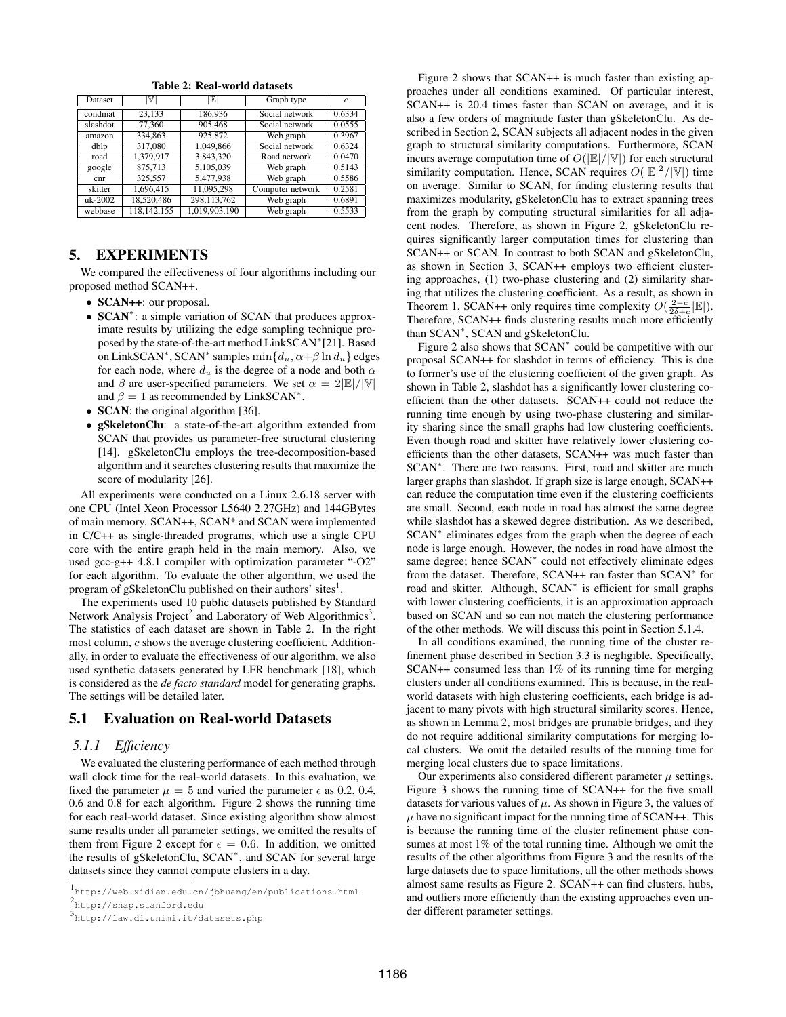| Dataset  | V             | E             | Graph type       | C      |
|----------|---------------|---------------|------------------|--------|
| condmat  | 23.133        | 186,936       | Social network   | 0.6334 |
| slashdot | 77,360        | 905,468       | Social network   | 0.0555 |
| amazon   | 334,863       | 925,872       | Web graph        | 0.3967 |
| dblp     | 317,080       | 1,049,866     | Social network   | 0.6324 |
| road     | 1.379.917     | 3.843.320     | Road network     | 0.0470 |
| google   | 875,713       | 5,105,039     | Web graph        | 0.5143 |
| cnr      | 325,557       | 5.477.938     | Web graph        | 0.5586 |
| skitter  | 1,696,415     | 11,095,298    | Computer network | 0.2581 |
| uk-2002  | 18,520,486    | 298,113,762   | Web graph        | 0.6891 |
| webbase  | 118, 142, 155 | 1.019.903.190 | Web graph        | 0.5533 |

Table 2: Real-world datasets

# 5. EXPERIMENTS

We compared the effectiveness of four algorithms including our proposed method SCAN++.

- SCAN++: our proposal.
- SCAN<sup>∗</sup> : a simple variation of SCAN that produces approximate results by utilizing the edge sampling technique proposed by the state-of-the-art method LinkSCAN<sup>∗</sup> [21]. Based on LinkSCAN<sup>\*</sup>, SCAN<sup>\*</sup> samples  $\min\{d_u, \alpha+\beta \ln d_u\}$  edges for each node, where  $d_u$  is the degree of a node and both  $\alpha$ and  $\beta$  are user-specified parameters. We set  $\alpha = 2|\mathbb{E}|/|\mathbb{V}|$ and  $\beta = 1$  as recommended by LinkSCAN<sup>\*</sup>.
- **SCAN**: the original algorithm [36].
- gSkeletonClu: a state-of-the-art algorithm extended from SCAN that provides us parameter-free structural clustering [14]. gSkeletonClu employs the tree-decomposition-based algorithm and it searches clustering results that maximize the score of modularity [26].

All experiments were conducted on a Linux 2.6.18 server with one CPU (Intel Xeon Processor L5640 2.27GHz) and 144GBytes of main memory. SCAN++, SCAN\* and SCAN were implemented in C/C++ as single-threaded programs, which use a single CPU core with the entire graph held in the main memory. Also, we used gcc-g++ 4.8.1 compiler with optimization parameter "-O2" for each algorithm. To evaluate the other algorithm, we used the program of gSkeletonClu published on their authors' sites $<sup>1</sup>$ .</sup>

The experiments used 10 public datasets published by Standard Network Analysis Project<sup>2</sup> and Laboratory of Web Algorithmics<sup>3</sup>. The statistics of each dataset are shown in Table 2. In the right most column, c shows the average clustering coefficient. Additionally, in order to evaluate the effectiveness of our algorithm, we also used synthetic datasets generated by LFR benchmark [18], which is considered as the *de facto standard* model for generating graphs. The settings will be detailed later.

# 5.1 Evaluation on Real-world Datasets

### *5.1.1 Efficiency*

We evaluated the clustering performance of each method through wall clock time for the real-world datasets. In this evaluation, we fixed the parameter  $\mu = 5$  and varied the parameter  $\epsilon$  as 0.2, 0.4, 0.6 and 0.8 for each algorithm. Figure 2 shows the running time for each real-world dataset. Since existing algorithm show almost same results under all parameter settings, we omitted the results of them from Figure 2 except for  $\epsilon = 0.6$ . In addition, we omitted the results of gSkeletonClu, SCAN<sup>∗</sup> , and SCAN for several large datasets since they cannot compute clusters in a day.

Figure 2 shows that SCAN++ is much faster than existing approaches under all conditions examined. Of particular interest, SCAN++ is 20.4 times faster than SCAN on average, and it is also a few orders of magnitude faster than gSkeletonClu. As described in Section 2, SCAN subjects all adjacent nodes in the given graph to structural similarity computations. Furthermore, SCAN incurs average computation time of  $O(|E|/|\mathbb{V}|)$  for each structural similarity computation. Hence, SCAN requires  $O(|E|^2/|\mathbb{V}|)$  time on average. Similar to SCAN, for finding clustering results that maximizes modularity, gSkeletonClu has to extract spanning trees from the graph by computing structural similarities for all adjacent nodes. Therefore, as shown in Figure 2, gSkeletonClu requires significantly larger computation times for clustering than SCAN++ or SCAN. In contrast to both SCAN and gSkeletonClu, as shown in Section 3, SCAN++ employs two efficient clustering approaches, (1) two-phase clustering and (2) similarity sharing that utilizes the clustering coefficient. As a result, as shown in Theorem 1, SCAN++ only requires time complexity  $O(\frac{2-c}{2\delta+c}|\mathbb{E}|)$ . Therefore, SCAN++ finds clustering results much more efficiently than SCAN<sup>∗</sup> , SCAN and gSkeletonClu.

Figure 2 also shows that SCAN<sup>∗</sup> could be competitive with our proposal SCAN++ for slashdot in terms of efficiency. This is due to former's use of the clustering coefficient of the given graph. As shown in Table 2, slashdot has a significantly lower clustering coefficient than the other datasets. SCAN++ could not reduce the running time enough by using two-phase clustering and similarity sharing since the small graphs had low clustering coefficients. Even though road and skitter have relatively lower clustering coefficients than the other datasets, SCAN++ was much faster than SCAN<sup>∗</sup> . There are two reasons. First, road and skitter are much larger graphs than slashdot. If graph size is large enough, SCAN++ can reduce the computation time even if the clustering coefficients are small. Second, each node in road has almost the same degree while slashdot has a skewed degree distribution. As we described, SCAN<sup>∗</sup> eliminates edges from the graph when the degree of each node is large enough. However, the nodes in road have almost the same degree; hence SCAN<sup>\*</sup> could not effectively eliminate edges from the dataset. Therefore, SCAN++ ran faster than SCAN<sup>∗</sup> for road and skitter. Although, SCAN<sup>∗</sup> is efficient for small graphs with lower clustering coefficients, it is an approximation approach based on SCAN and so can not match the clustering performance of the other methods. We will discuss this point in Section 5.1.4.

In all conditions examined, the running time of the cluster refinement phase described in Section 3.3 is negligible. Specifically, SCAN++ consumed less than 1% of its running time for merging clusters under all conditions examined. This is because, in the realworld datasets with high clustering coefficients, each bridge is adjacent to many pivots with high structural similarity scores. Hence, as shown in Lemma 2, most bridges are prunable bridges, and they do not require additional similarity computations for merging local clusters. We omit the detailed results of the running time for merging local clusters due to space limitations.

Our experiments also considered different parameter  $\mu$  settings. Figure 3 shows the running time of SCAN++ for the five small datasets for various values of  $\mu$ . As shown in Figure 3, the values of  $\mu$  have no significant impact for the running time of SCAN++. This is because the running time of the cluster refinement phase consumes at most 1% of the total running time. Although we omit the results of the other algorithms from Figure 3 and the results of the large datasets due to space limitations, all the other methods shows almost same results as Figure 2. SCAN++ can find clusters, hubs, and outliers more efficiently than the existing approaches even under different parameter settings.

<sup>1</sup> http://web.xidian.edu.cn/jbhuang/en/publications.html

<sup>)&</sup>lt;br>http://snap.stanford.edu

<sup>3&</sup>lt;br>http://law.di.unimi.it/datasets.php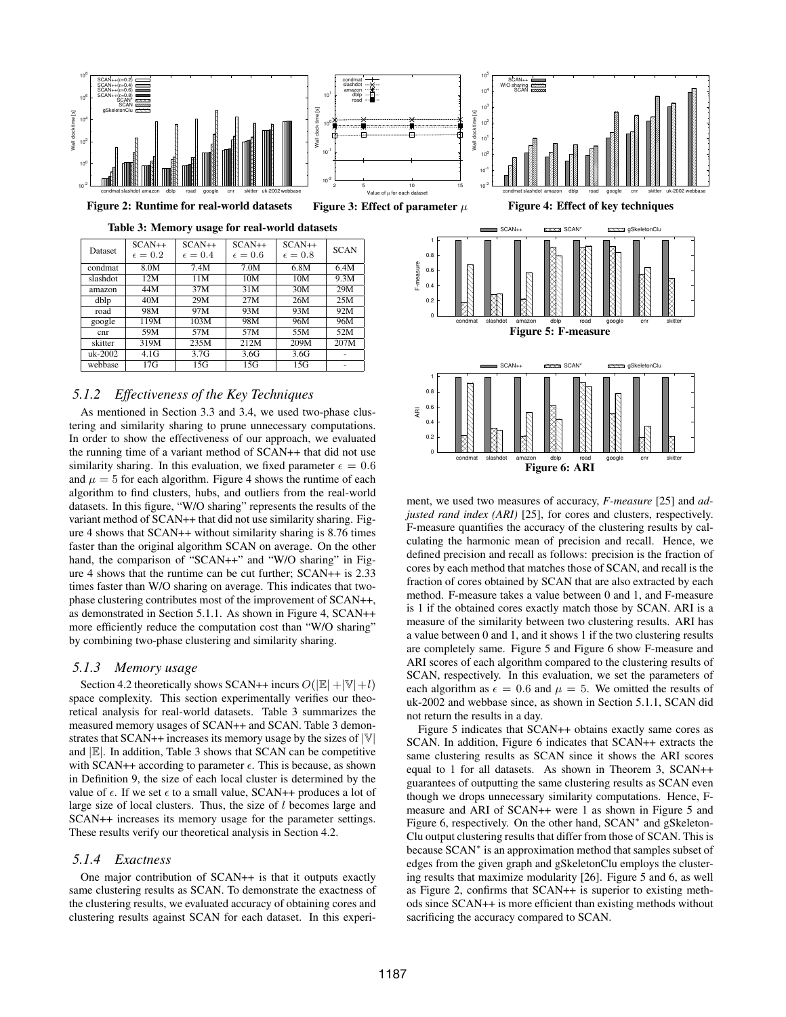

Table 3: Memory usage for real-world datasets

| Dataset  | $SCAN++$<br>$\epsilon = 0.2$ | $SCAN++$<br>$\epsilon = 0.4$ | $SCAN++$<br>$\epsilon=0.6$ | $SCAN++$<br>$\epsilon=0.8$ | <b>SCAN</b> |
|----------|------------------------------|------------------------------|----------------------------|----------------------------|-------------|
| condmat  | 8.0M                         | 7.4M                         | 7.0M                       | 6.8M                       | 6.4M        |
| slashdot | 12M                          | 11M                          | 10M                        | 10M                        | 9.3M        |
| amazon   | 44M                          | 37M                          | 31M                        | 30M                        | 29M         |
| dblp     | 40M                          | 29M                          | 27M                        | 26M                        | 25M         |
| road     | 98M                          | 97M                          | 93M                        | 93M                        | 92M         |
| google   | 119M                         | 103M                         | 98M                        | 96M                        | 96M         |
| cnr      | 59M                          | 57M                          | 57M                        | 55M                        | 52M         |
| skitter  | 319M                         | 235M                         | 212M                       | 209M                       | 207M        |
| uk-2002  | 4.1G                         | 3.7G                         | 3.6G                       | 3.6G                       |             |
| webbase  | 17G                          | 15G                          | 15G                        | 15G                        |             |

# *5.1.2 Effectiveness of the Key Techniques*

As mentioned in Section 3.3 and 3.4, we used two-phase clustering and similarity sharing to prune unnecessary computations. In order to show the effectiveness of our approach, we evaluated the running time of a variant method of SCAN++ that did not use similarity sharing. In this evaluation, we fixed parameter  $\epsilon = 0.6$ and  $\mu = 5$  for each algorithm. Figure 4 shows the runtime of each algorithm to find clusters, hubs, and outliers from the real-world datasets. In this figure, "W/O sharing" represents the results of the variant method of SCAN++ that did not use similarity sharing. Figure 4 shows that SCAN++ without similarity sharing is 8.76 times faster than the original algorithm SCAN on average. On the other hand, the comparison of "SCAN++" and "W/O sharing" in Figure 4 shows that the runtime can be cut further; SCAN++ is 2.33 times faster than W/O sharing on average. This indicates that twophase clustering contributes most of the improvement of SCAN++, as demonstrated in Section 5.1.1. As shown in Figure 4, SCAN++ more efficiently reduce the computation cost than "W/O sharing" by combining two-phase clustering and similarity sharing.

#### *5.1.3 Memory usage*

Section 4.2 theoretically shows SCAN++ incurs  $O(|E| + |V| + l)$ space complexity. This section experimentally verifies our theoretical analysis for real-world datasets. Table 3 summarizes the measured memory usages of SCAN++ and SCAN. Table 3 demonstrates that SCAN++ increases its memory usage by the sizes of  $|\mathbb{V}|$ and  $|\mathbb{E}|$ . In addition, Table 3 shows that SCAN can be competitive with SCAN++ according to parameter  $\epsilon$ . This is because, as shown in Definition 9, the size of each local cluster is determined by the value of  $\epsilon$ . If we set  $\epsilon$  to a small value, SCAN++ produces a lot of large size of local clusters. Thus, the size of l becomes large and SCAN++ increases its memory usage for the parameter settings. These results verify our theoretical analysis in Section 4.2.

### *5.1.4 Exactness*

One major contribution of SCAN++ is that it outputs exactly same clustering results as SCAN. To demonstrate the exactness of the clustering results, we evaluated accuracy of obtaining cores and clustering results against SCAN for each dataset. In this experi-



ment, we used two measures of accuracy, *F-measure* [25] and *adjusted rand index (ARI)* [25], for cores and clusters, respectively. F-measure quantifies the accuracy of the clustering results by calculating the harmonic mean of precision and recall. Hence, we defined precision and recall as follows: precision is the fraction of cores by each method that matches those of SCAN, and recall is the fraction of cores obtained by SCAN that are also extracted by each method. F-measure takes a value between 0 and 1, and F-measure is 1 if the obtained cores exactly match those by SCAN. ARI is a measure of the similarity between two clustering results. ARI has a value between 0 and 1, and it shows 1 if the two clustering results are completely same. Figure 5 and Figure 6 show F-measure and ARI scores of each algorithm compared to the clustering results of SCAN, respectively. In this evaluation, we set the parameters of each algorithm as  $\epsilon = 0.6$  and  $\mu = 5$ . We omitted the results of uk-2002 and webbase since, as shown in Section 5.1.1, SCAN did not return the results in a day.

Figure 6: ARI

Figure 5 indicates that SCAN++ obtains exactly same cores as SCAN. In addition, Figure 6 indicates that SCAN++ extracts the same clustering results as SCAN since it shows the ARI scores equal to 1 for all datasets. As shown in Theorem 3, SCAN++ guarantees of outputting the same clustering results as SCAN even though we drops unnecessary similarity computations. Hence, Fmeasure and ARI of SCAN++ were 1 as shown in Figure 5 and Figure 6, respectively. On the other hand, SCAN<sup>\*</sup> and gSkeleton-Clu output clustering results that differ from those of SCAN. This is because SCAN<sup>∗</sup> is an approximation method that samples subset of edges from the given graph and gSkeletonClu employs the clustering results that maximize modularity [26]. Figure 5 and 6, as well as Figure 2, confirms that SCAN++ is superior to existing methods since SCAN++ is more efficient than existing methods without sacrificing the accuracy compared to SCAN.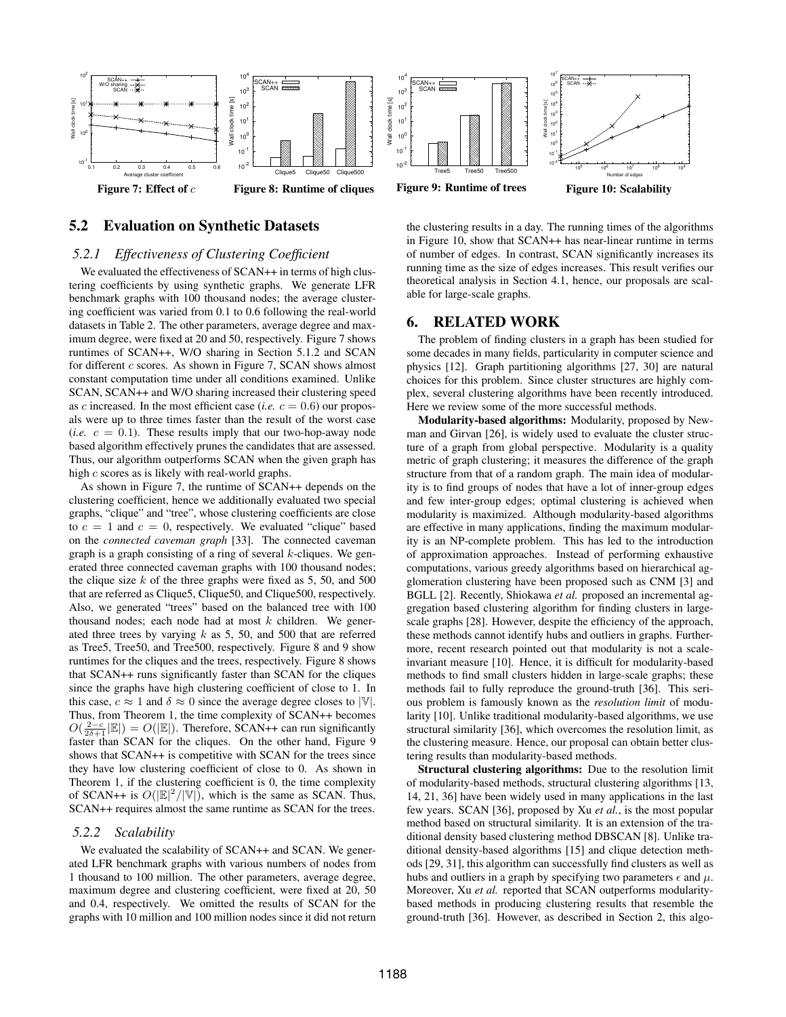

# 5.2 Evaluation on Synthetic Datasets

# *5.2.1 Effectiveness of Clustering Coefficient*

We evaluated the effectiveness of SCAN++ in terms of high clustering coefficients by using synthetic graphs. We generate LFR benchmark graphs with 100 thousand nodes; the average clustering coefficient was varied from 0.1 to 0.6 following the real-world datasets in Table 2. The other parameters, average degree and maximum degree, were fixed at 20 and 50, respectively. Figure 7 shows runtimes of SCAN++, W/O sharing in Section 5.1.2 and SCAN for different c scores. As shown in Figure 7, SCAN shows almost constant computation time under all conditions examined. Unlike SCAN, SCAN++ and W/O sharing increased their clustering speed as c increased. In the most efficient case (*i.e.*  $c = 0.6$ ) our proposals were up to three times faster than the result of the worst case (*i.e.*  $c = 0.1$ ). These results imply that our two-hop-away node based algorithm effectively prunes the candidates that are assessed. Thus, our algorithm outperforms SCAN when the given graph has high c scores as is likely with real-world graphs.

As shown in Figure 7, the runtime of SCAN++ depends on the clustering coefficient, hence we additionally evaluated two special graphs, "clique" and "tree", whose clustering coefficients are close to  $c = 1$  and  $c = 0$ , respectively. We evaluated "clique" based on the *connected caveman graph* [33]. The connected caveman graph is a graph consisting of a ring of several  $k$ -cliques. We generated three connected caveman graphs with 100 thousand nodes; the clique size  $k$  of the three graphs were fixed as 5, 50, and 500 that are referred as Clique5, Clique50, and Clique500, respectively. Also, we generated "trees" based on the balanced tree with 100 thousand nodes; each node had at most  $k$  children. We generated three trees by varying  $k$  as 5, 50, and 500 that are referred as Tree5, Tree50, and Tree500, respectively. Figure 8 and 9 show runtimes for the cliques and the trees, respectively. Figure 8 shows that SCAN++ runs significantly faster than SCAN for the cliques since the graphs have high clustering coefficient of close to 1. In this case,  $c \approx 1$  and  $\delta \approx 0$  since the average degree closes to |V|. Thus, from Theorem 1, the time complexity of SCAN++ becomes  $O(\frac{2-c}{2\delta+1}|\mathbb{E}|) = O(|\mathbb{E}|)$ . Therefore, SCAN++ can run significantly faster than SCAN for the cliques. On the other hand, Figure 9 shows that SCAN++ is competitive with SCAN for the trees since they have low clustering coefficient of close to 0. As shown in Theorem 1, if the clustering coefficient is 0, the time complexity of SCAN++ is  $O(|\mathbb{E}|^2/|\mathbb{V}|)$ , which is the same as SCAN. Thus, SCAN++ requires almost the same runtime as SCAN for the trees.

#### *5.2.2 Scalability*

We evaluated the scalability of SCAN++ and SCAN. We generated LFR benchmark graphs with various numbers of nodes from 1 thousand to 100 million. The other parameters, average degree, maximum degree and clustering coefficient, were fixed at 20, 50 and 0.4, respectively. We omitted the results of SCAN for the graphs with 10 million and 100 million nodes since it did not return



the clustering results in a day. The running times of the algorithms in Figure 10, show that SCAN++ has near-linear runtime in terms of number of edges. In contrast, SCAN significantly increases its running time as the size of edges increases. This result verifies our theoretical analysis in Section 4.1, hence, our proposals are scalable for large-scale graphs.

# 6. RELATED WORK

The problem of finding clusters in a graph has been studied for some decades in many fields, particularity in computer science and physics [12]. Graph partitioning algorithms [27, 30] are natural choices for this problem. Since cluster structures are highly complex, several clustering algorithms have been recently introduced. Here we review some of the more successful methods.

Modularity-based algorithms: Modularity, proposed by Newman and Girvan [26], is widely used to evaluate the cluster structure of a graph from global perspective. Modularity is a quality metric of graph clustering; it measures the difference of the graph structure from that of a random graph. The main idea of modularity is to find groups of nodes that have a lot of inner-group edges and few inter-group edges; optimal clustering is achieved when modularity is maximized. Although modularity-based algorithms are effective in many applications, finding the maximum modularity is an NP-complete problem. This has led to the introduction of approximation approaches. Instead of performing exhaustive computations, various greedy algorithms based on hierarchical agglomeration clustering have been proposed such as CNM [3] and BGLL [2]. Recently, Shiokawa *et al.* proposed an incremental aggregation based clustering algorithm for finding clusters in largescale graphs [28]. However, despite the efficiency of the approach, these methods cannot identify hubs and outliers in graphs. Furthermore, recent research pointed out that modularity is not a scaleinvariant measure [10]. Hence, it is difficult for modularity-based methods to find small clusters hidden in large-scale graphs; these methods fail to fully reproduce the ground-truth [36]. This serious problem is famously known as the *resolution limit* of modularity [10]. Unlike traditional modularity-based algorithms, we use structural similarity [36], which overcomes the resolution limit, as the clustering measure. Hence, our proposal can obtain better clustering results than modularity-based methods.

Structural clustering algorithms: Due to the resolution limit of modularity-based methods, structural clustering algorithms [13, 14, 21, 36] have been widely used in many applications in the last few years. SCAN [36], proposed by Xu *et al.*, is the most popular method based on structural similarity. It is an extension of the traditional density based clustering method DBSCAN [8]. Unlike traditional density-based algorithms [15] and clique detection methods [29, 31], this algorithm can successfully find clusters as well as hubs and outliers in a graph by specifying two parameters  $\epsilon$  and  $\mu$ . Moreover, Xu *et al.* reported that SCAN outperforms modularitybased methods in producing clustering results that resemble the ground-truth [36]. However, as described in Section 2, this algo-